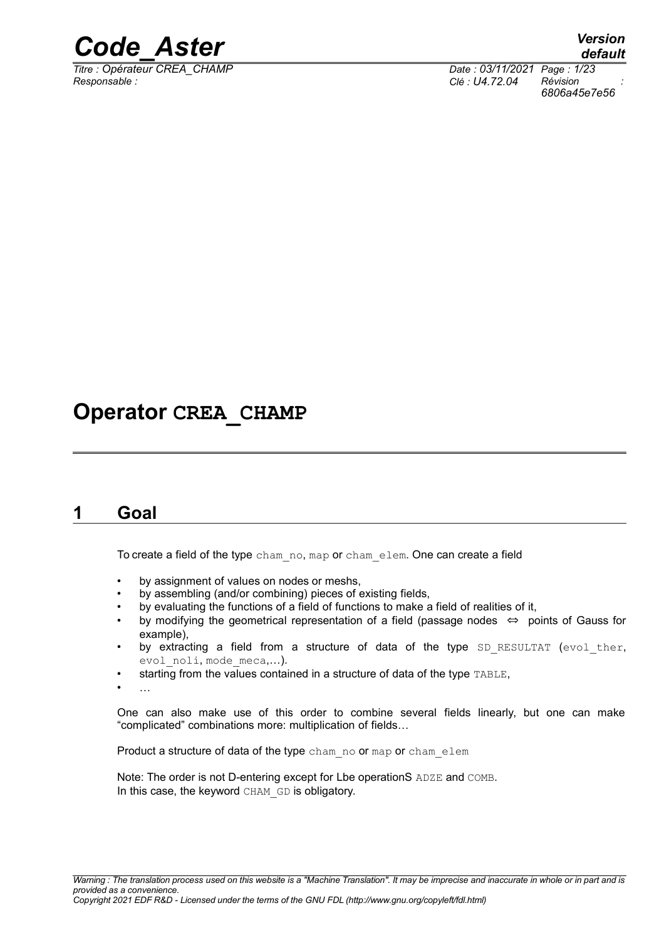

*Titre : Opérateur CREA\_CHAMP Date : 03/11/2021 Page : 1/23 Responsable : Clé : U4.72.04 Révision :*

*6806a45e7e56*

### **Operator CREA\_CHAMP**

### <span id="page-0-0"></span>**1 Goal**

To create a field of the type cham\_no, map or cham\_elem. One can create a field

- by assignment of values on nodes or meshs,
- by assembling (and/or combining) pieces of existing fields,
- by evaluating the functions of a field of functions to make a field of realities of it,
- by modifying the geometrical representation of a field (passage nodes  $\Leftrightarrow$  points of Gauss for example),
- by extracting a field from a structure of data of the type  $SD$  RESULTAT (evol ther, evol noli, mode meca,...).
- starting from the values contained in a structure of data of the type TABLE,
- …

One can also make use of this order to combine several fields linearly, but one can make "complicated" combinations more: multiplication of fields…

Product a structure of data of the type cham\_no or map or cham\_elem

Note: The order is not D-entering except for Lbe operationS ADZE and COMB. In this case, the keyword CHAM GD is obligatory.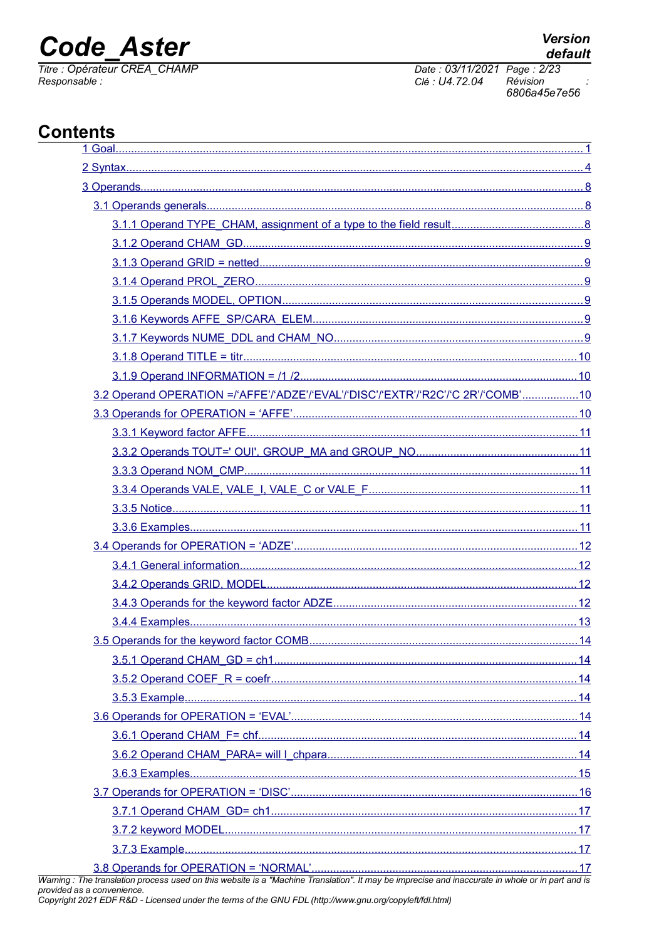### **Code Aster**

Titre : Opérateur CREA\_CHAMP<br>Responsable :

**Version** 

### **Contents**

| 3.2 Operand OPERATION =/'AFFE'/'ADZE'/'EVAL'/'DISC'/'EXTR'/'R2C'/'C 2R'/'COMB'10 |  |
|----------------------------------------------------------------------------------|--|
|                                                                                  |  |
|                                                                                  |  |
|                                                                                  |  |
|                                                                                  |  |
|                                                                                  |  |
|                                                                                  |  |
|                                                                                  |  |
|                                                                                  |  |
|                                                                                  |  |
|                                                                                  |  |
|                                                                                  |  |
|                                                                                  |  |
|                                                                                  |  |
|                                                                                  |  |
|                                                                                  |  |
|                                                                                  |  |
|                                                                                  |  |
|                                                                                  |  |
|                                                                                  |  |
|                                                                                  |  |
|                                                                                  |  |
|                                                                                  |  |
|                                                                                  |  |
|                                                                                  |  |
|                                                                                  |  |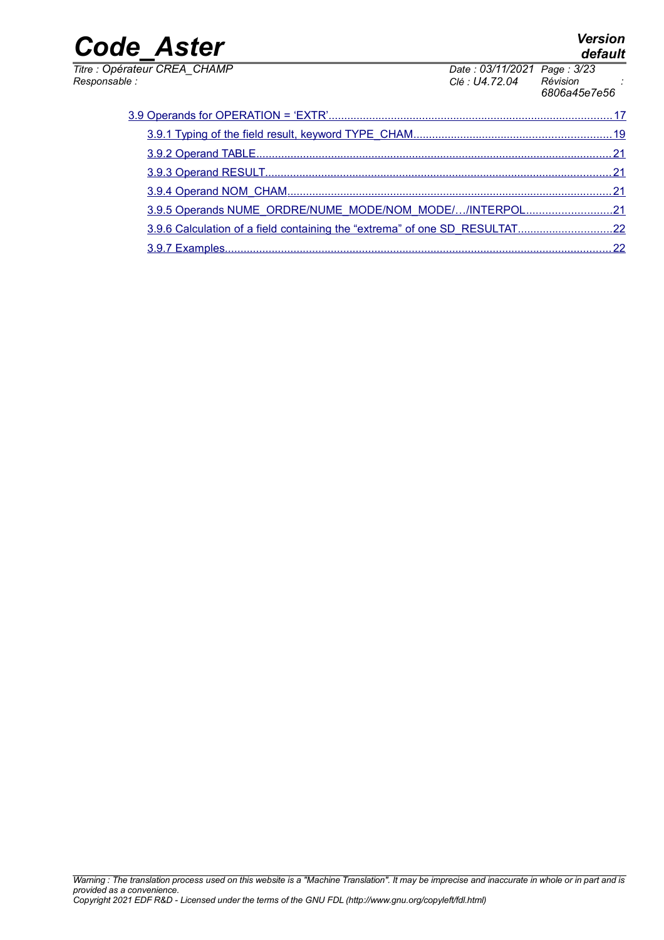*Titre : Opérateur CREA\_CHAMP Date : 03/11/2021 Page : 3/23*

|                                                          | 6806a45e7e56 |
|----------------------------------------------------------|--------------|
|                                                          |              |
|                                                          |              |
|                                                          |              |
|                                                          |              |
|                                                          |              |
| 3.9.5 Operands NUME_ORDRE/NUME_MODE/NOM_MODE//INTERPOL21 |              |

 [3.9.6 Calculation of a field containing the "extrema" of one SD\\_RESULTAT ..............................22](#page-21-1)  [3.9.7 Examples ............................................................................................................................22](#page-21-0)

*Responsable : Clé : U4.72.04 Révision :*

*default*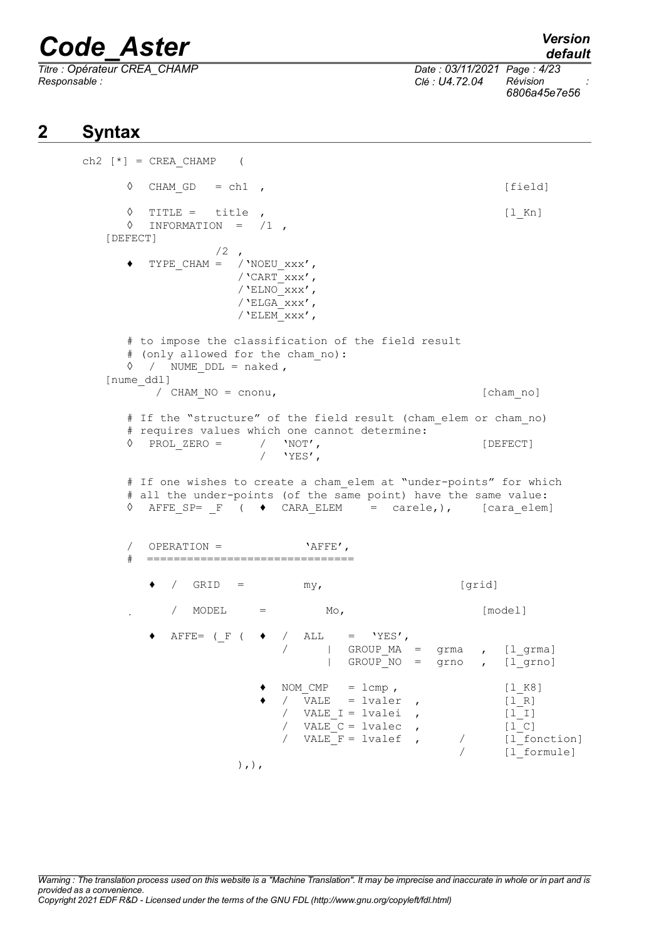*Titre : Opérateur CREA\_CHAMP Date : 03/11/2021 Page : 4/23 Responsable : Clé : U4.72.04 Révision :*

*6806a45e7e56*

### **2 Syntax**

```
ch2 [ * ] = CREA CHAMP (
       \Diamond CHAM GD = ch1 , [field]\Diamond TITLE = title , [1_Kn]\Diamond INFORMATION = /1,
   [DEFECT]
                     /2,
       \blacklozenge TYPE CHAM = /'NOEU xxx',
                         /'CART\bar{x}xx',
                         /'ELNO\overline{xxx'},
                         /'ELGA_{\rm XXX'},
                         /'ELEM_xxx',
       # to impose the classification of the field result
       # (only allowed for the cham_no):
       \Diamond / NUME DDL = naked,
   [nume_ddl]
          / CHAM NO = cnonu, [cham no]
       # If the "structure" of the field result (cham_elem or cham_no) 
       # requires values which one cannot determine:
       ◊ PROL_ZERO = / 'NOT', [DEFECT]
                             \gamma 'YES',
       # If one wishes to create a cham elem at "under-points" for which
       # all the under-points (of the same point) have the same value:
       \Diamond AFFE SP= F ( \blacklozenge CARA ELEM = carele,), [cara_elem]
       \angle OPERATION = \angle AFFE',
          # ===============================
            \angle GRID = my, [grid]
              / MODEL = Mo, [model]
            AFFE= (F ( \blacklozenge / ALL = 'YES',
                                      / | GROUP_MA = grma , [l_grma]
                                       | GROUP NO = grno , [1]grno]
                             \bullet NOM CMP = lcmp , [l K8]
                             • / VALE = lvaler , [1_R]<br>
/ VALE I = lvalei , [1_R]
                                \sqrt{VALE_1} = Ivalei\begin{array}{ccc} \text{V} & \text{V} & \text{V} & \text{V} & \text{V} \\ \text{V} & \text{V} & \text{V} & \text{V} & \text{V} \\ \text{V} & \text{V} & \text{V} & \text{V} & \text{V} \end{array} , \begin{array}{ccc} \text{V} & \text{V} & \text{V} \\ \text{V} & \text{V} & \text{V} & \text{V} \end{array}/ VALEF = 1valef ,
                                                             / [l_formule]
                         ),),
```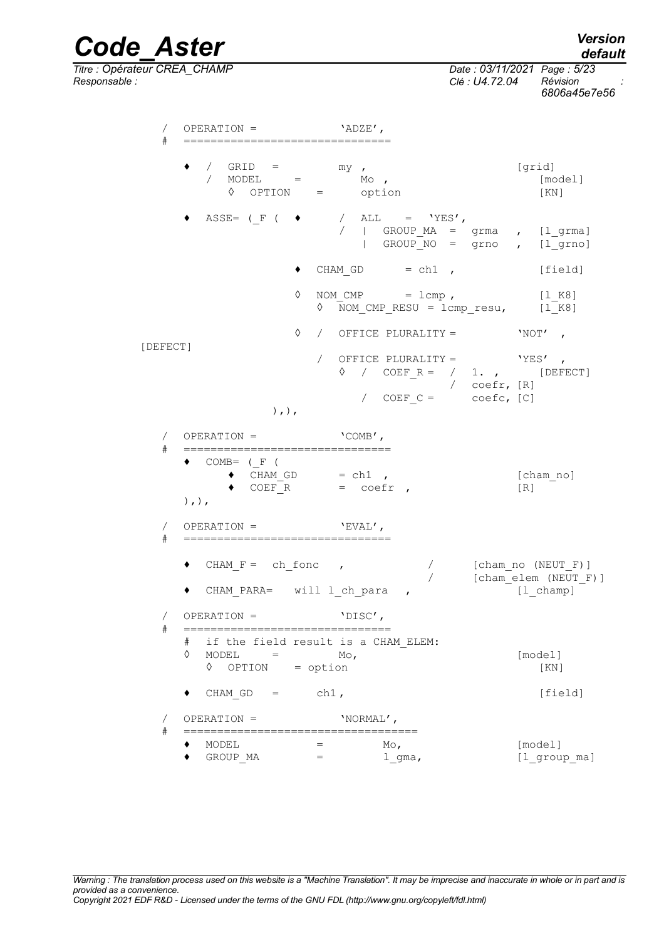*default*

*Code\_Aster Version Titre : Opérateur CREA\_CHAMP Date : 03/11/2021 Page : 5/23 Responsable : Clé : U4.72.04 Révision :*

*6806a45e7e56*

/ OPERATION = 'ADZE', # =============================== / GRID = my ,<br>
/ MODEL = Mo , [grid] / MODEL = Mo , [model] ◊ OPTION = option [KN] ASSE= (\_F (  $\bullet$  / ALL = 'YES',  $/$  | GROUP MA = grma ,  $[1$  grma] | GROUP\_NO = grno , [l\_grno]  $\bullet$  CHAM GD = ch1 , [field]  $\Diamond$  NOM CMP = lcmp , [l K8]  $NOM\_CMP$  = lcmp,  $l1_N8$ <br>  $NOM\_CMP\_RESU$  = lcmp\_resu,  $l1_N8$ ] ◊ / OFFICE PLURALITY = 'NOT' , [DEFECT] / OFFICE PLURALITY = 'YES', ◊ / COEF\_R = / 1. , [DEFECT] / coefr, [R] /  $COEF C =$   $Coefc, [C]$ ),),  $\angle$  OPERATION =  $\angle$   $\angle$  COMB'. # ===============================  $COMP=$  ( $F$  (  $\bullet$  CHAM GD = ch1 , [cham\_no]  $\bullet$  COEF\_R = coefr , [R]  $),$ ), / OPERATION = 'EVAL', # ===============================  $\bullet$  CHAM\_F = ch\_fonc , / [cham\_no (NEUT\_F)]<br>/ [cham\_elem (NEUT\_F)] ♦ CHAM\_PARA= will l\_ch\_para , [l\_champ] / OPERATION = 'DISC', # =============================== # if the field result is a CHAM\_ELEM:  $\Diamond$  MODEL = Mo,  $\Box$  [model]  $\Diamond$  OPTION = option [KN]  $\bullet$  CHAM\_GD = ch1, [field] / OPERATION = 'NORMAL', # ===================================  $\bullet$  MODEL  $=$  Mo,  $[\text{model}]$ • GROUP MA =  $l$  gma,  $[1$  group ma]

*Warning : The translation process used on this website is a "Machine Translation". It may be imprecise and inaccurate in whole or in part and is provided as a convenience. Copyright 2021 EDF R&D - Licensed under the terms of the GNU FDL (http://www.gnu.org/copyleft/fdl.html)*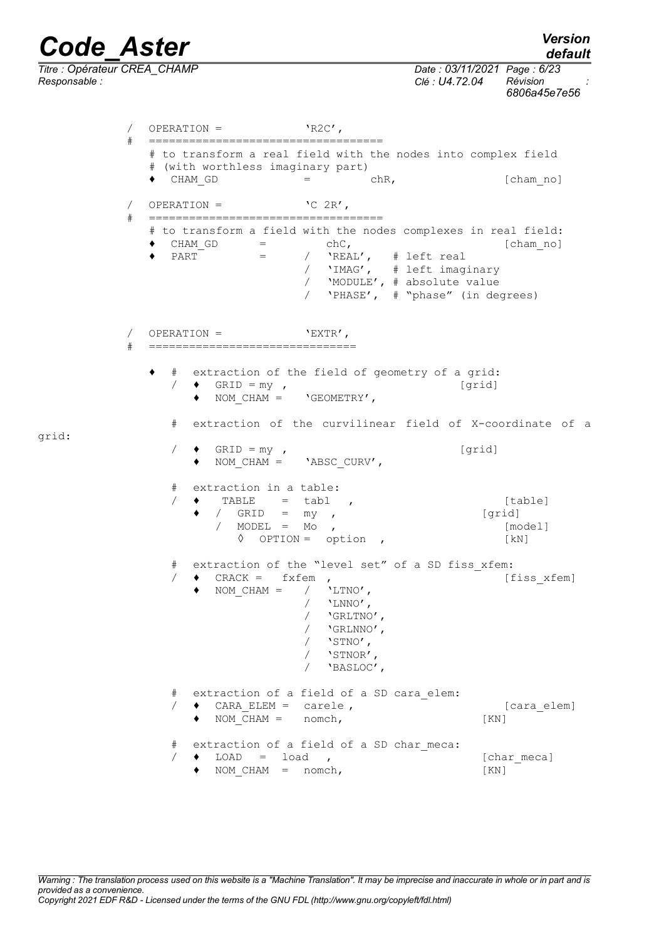# *Code\_Aster Version*<br>default<br>Titre : Opérateur CREA CHAMP Date : 03/11/2021 Page : 6/23

*default*

*Titre : Opérateur CREA\_CHAMP Date : 03/11/2021 Page : 6/23 Responsable : Clé : U4.72.04 Révision :*

grid:

### *6806a45e7e56*

 $\angle$  OPERATION =  $\angle$  'R2C',

# =================================== # to transform a real field with the nodes into complex field # (with worthless imaginary part)  $\bullet$  CHAM GD  $=$  chR,  $[char no]$  $\angle$  OPERATION =  $\angle$   $\angle$  2R', # =================================== # to transform a field with the nodes complexes in real field: ♦ CHAM\_GD = chC, [cham\_no]  $\bullet$  PART = /  $'$ REAL', # left real / 'IMAG', # left imaginary / 'MODULE', # absolute value / 'PHASE', # "phase" (in degrees) / OPERATION = 'EXTR', # =============================== # extraction of the field of geometry of a grid:  $/$   $\bullet$  GRID = my, ♦ NOM\_CHAM = 'GEOMETRY', # extraction of the curvilinear field of X-coordinate of a  $/$   $\bullet$  GRID = my, ♦ NOM\_CHAM = 'ABSC\_CURV', # extraction in a table:  $/ \bullet$  TABLE = tabl , [table]  $\bullet$  / GRID = my , [grid] / MODEL = Mo , [model] ◊ OPTION = option , [kN] # extraction of the "level set" of a SD fiss\_xfem:  $/$   $\bullet$  CRACK = fxfem ,  $[fiss\_xfem]$  $\bullet$  NOM\_CHAM = /  $'$ LTNO',  $/$  'LNNO', / 'GRLTNO', / 'GRLNNO', / 'STNO', / 'STNOR', / 'BASLOC', # extraction of a field of a SD cara\_elem:  $/$   $\bullet$  CARA ELEM = carele ,  $\qquad \qquad$  [cara elem]  $\bullet$  NOM  $CHAM =$  nomch, [KN] # extraction of a field of a SD char meca:  $/ \bullet$  LOAD = load ,  $[char \text{meca}]$  $\bullet$  NOM CHAM = nomch,  $[KN]$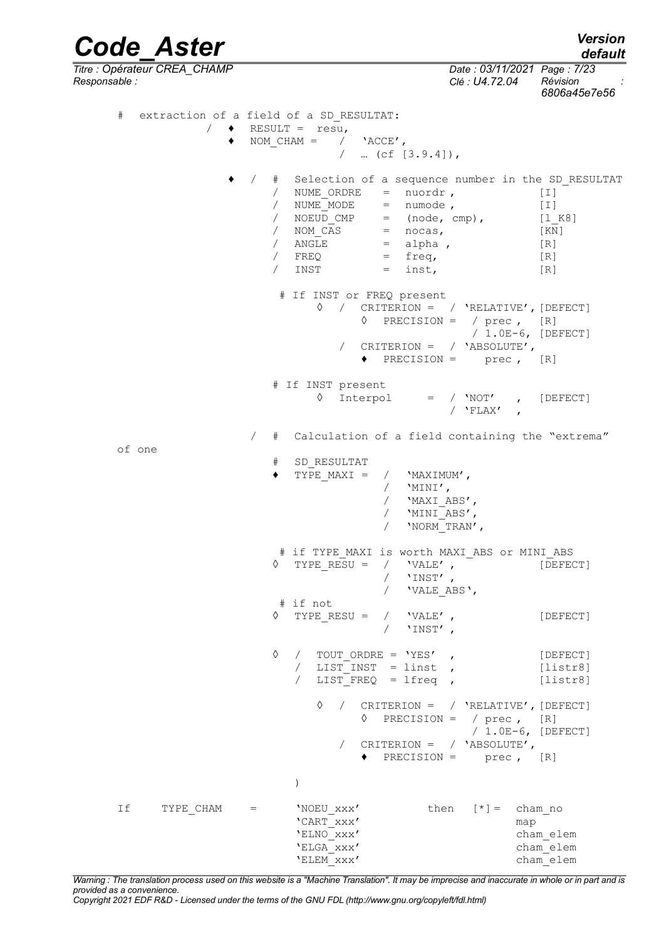*Code\_Aster Version default Titre : Opérateur CREA\_CHAMP Date : 03/11/2021 Page : 7/23 Responsable : Clé : U4.72.04 Révision : 6806a45e7e56* # extraction of a field of a SD\_RESULTAT:  $/ \rightarrow$  RESULT = resu,  $\bullet$  NOM CHAM = / 'ACCE',  $/$  … (cf  $[3.9.4]$ ), ♦ / # Selection of a sequence number in the SD\_RESULTAT % NUME\_ORDRE = nuordr , [I]<br>
/ NUME\_MODE = numode , [I]  $\begin{array}{ccc} \text{/} & \text{NUME}^{-} \text{MODE} & = & \text{numode} \text{,} \\ \text{/} & \text{NOEUD} \text{CMP} & = & \text{(node,cmp),} \end{array}$  [1] =  $(node, comp),$   $[1_K8]$ <br>=  $nocas,$   $[KN]$  $\begin{array}{rcl} \text{/} & \text{NOM\_CAS} & = & \text{ncas,} \\ \text{/} & \text{ANGLE} & = & \text{alpha,} \\ \end{array}$  [R]  $\overline{A}$  and  $\overline{B}$  = alpha ,  $[R]$  $/$  FREQ = freq,  $[R]$  $/$  INST = inst,  $[R]$  # If INST or FREQ present ◊ / CRITERION = / 'RELATIVE',[DEFECT] ◊ PRECISION = / prec , [R] / 1.0E-6, [DEFECT] / CRITERION = / 'ABSOLUTE',  $\blacklozenge$  PRECISION = prec, [R] # If INST present ◊ Interpol = / 'NOT' , [DEFECT]  $/$  'FLAX' / # Calculation of a field containing the "extrema" of one # SD\_RESULTAT  $\blacklozenge$  TYPE MAXI = / 'MAXIMUM',  $/$  'MINI', / 'MAXI\_ABS', / 'MINI<sup>T</sup>ABS', / 'NORM\_TRAN', # if TYPE\_MAXI is worth MAXI\_ABS or MINI\_ABS<br>TYPE RESU = / 'VALE', [DEFEC  $\Diamond$  TYPE RESU = / 'VALE' , [DEFECT] / 'INST',<br>/ 'VALE A' / 'VALE\_ABS', # if not  $\Diamond$  TYPE RESU = / 'VALE' , [DEFECT] / 'INST' , ◊ / TOUT\_ORDRE = 'YES' , [DEFECT]  $\overline{y}$  LIST INST = linst , [listr8]  $\overline{V}$  LIST FREQ = lfreq , [listr8] ◊ / CRITERION = / 'RELATIVE',[DEFECT] ◊ PRECISION = / prec , [R] / 1.0E-6, [DEFECT] / CRITERION = / 'ABSOLUTE',  $\triangleleft$  PRECISION = prec,  $[R]$ ) If TYPE CHAM = 'NOEU xxx' then [\*] = cham\_no 'CART\_xxx' map 'ELNO\_xxx' cham\_elem 'ELGA\_xxx' cham\_elem 'ELEM\_xxx' cham\_elem

*Warning : The translation process used on this website is a "Machine Translation". It may be imprecise and inaccurate in whole or in part and is provided as a convenience.*

*Copyright 2021 EDF R&D - Licensed under the terms of the GNU FDL (http://www.gnu.org/copyleft/fdl.html)*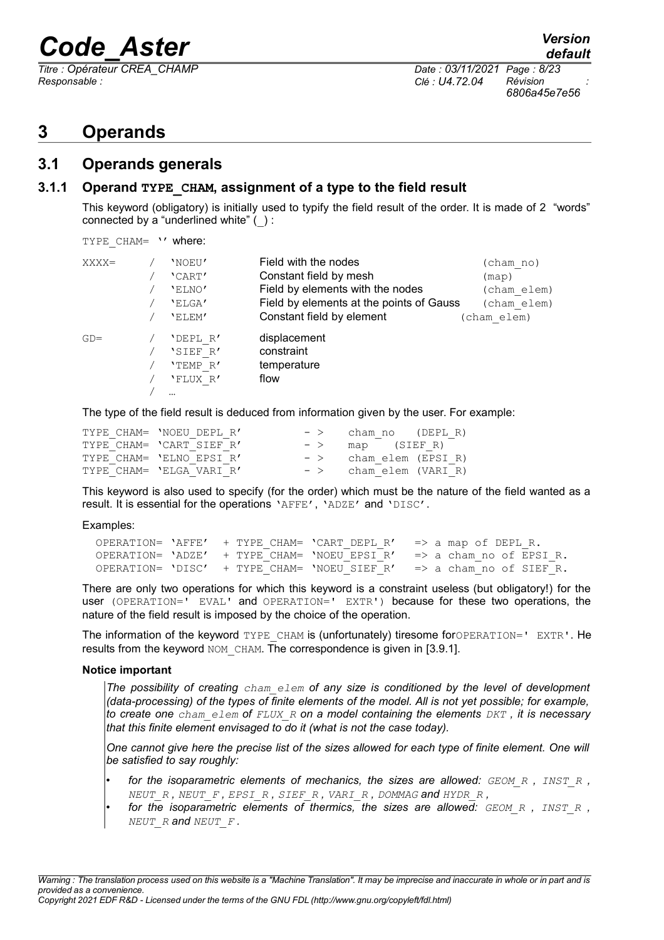*Responsable : Clé : U4.72.04 Révision :*

### <span id="page-7-2"></span>**3 Operands**

#### <span id="page-7-1"></span>**3.1 Operands generals**

#### **3.1.1 Operand TYPE\_CHAM, assignment of a type to the field result**

<span id="page-7-0"></span>This keyword (obligatory) is initially used to typify the field result of the order. It is made of 2 "words" connected by a "underlined white" (\_) :

TYPE CHAM= '' where:

| $XXXX =$ | 'NOEU'<br>'CART'<br>'ELNO'<br>'ELGA'<br>'ELEM'   | Field with the nodes<br>Constant field by mesh<br>Field by elements with the nodes<br>Field by elements at the points of Gauss<br>Constant field by element | (cham no)<br>$(\text{map})$<br>(cham elem)<br>(cham elem)<br>(cham elem) |
|----------|--------------------------------------------------|-------------------------------------------------------------------------------------------------------------------------------------------------------------|--------------------------------------------------------------------------|
| $GD =$   | 'DEPL R'<br>'SIEF R'<br>'TEMP R'<br>'FLUX R'<br> | displacement<br>constraint<br>temperature<br>flow                                                                                                           |                                                                          |

The type of the field result is deduced from information given by the user. For example:

| TYPE CHAM= 'NOEU DEPL R' | $ >$  | cham no (DEPL R)   |
|--------------------------|-------|--------------------|
| TYPE CHAM= 'CART SIEF R' | $-$ > | map (SIEFR)        |
| TYPE CHAM= 'ELNO EPSI R' | $ >$  | cham elem (EPSI R) |
| TYPE CHAM= 'ELGA VARI R' | $ >$  | cham elem (VARI R) |

This keyword is also used to specify (for the order) which must be the nature of the field wanted as a result. It is essential for the operations 'AFFE', 'ADZE' and 'DISC'.

Examples:

 OPERATION= 'AFFE' + TYPE\_CHAM= 'CART\_DEPL\_R' => a map of DEPL\_R. OPERATION= 'ADZE' + TYPE\_CHAM= 'NOEU\_EPSI\_R' => a cham\_no of EPSI\_R.<br>OPERATION= 'DISC' + TYPE CHAM= 'NOEU SIEF R' => a cham no of SIEF R. OPERATION=  $'DISC'$  + TYPE CHAM=  $'NOEU$  SIEF R'

There are only two operations for which this keyword is a constraint useless (but obligatory!) for the user (OPERATION=' EVAL' and OPERATION=' EXTR') because for these two operations, the nature of the field result is imposed by the choice of the operation.

The information of the keyword TYPE CHAM is (unfortunately) tiresome forOPERATION=' EXTR'. He results from the keyword NOM CHAM. The correspondence is given in [\[3.9.1\]](#page-18-0).

#### **Notice important**

*The possibility of creating cham\_elem of any size is conditioned by the level of development (data-processing) of the types of finite elements of the model. All is not yet possible; for example, to create one cham\_elem of FLUX\_R on a model containing the elements DKT , it is necessary that this finite element envisaged to do it (what is not the case today).* 

*One cannot give here the precise list of the sizes allowed for each type of finite element. One will be satisfied to say roughly:*

- *for the isoparametric elements of mechanics, the sizes are allowed: GEOM\_R , INST\_R , NEUT\_R , NEUT\_F , EPSI\_R , SIEF\_R , VARI\_R , DOMMAG and HYDR\_R ,*
- *for the isoparametric elements of thermics, the sizes are allowed: GEOM\_R , INST\_R , NEUT\_R and NEUT\_F .*

*Warning : The translation process used on this website is a "Machine Translation". It may be imprecise and inaccurate in whole or in part and is provided as a convenience. Copyright 2021 EDF R&D - Licensed under the terms of the GNU FDL (http://www.gnu.org/copyleft/fdl.html)*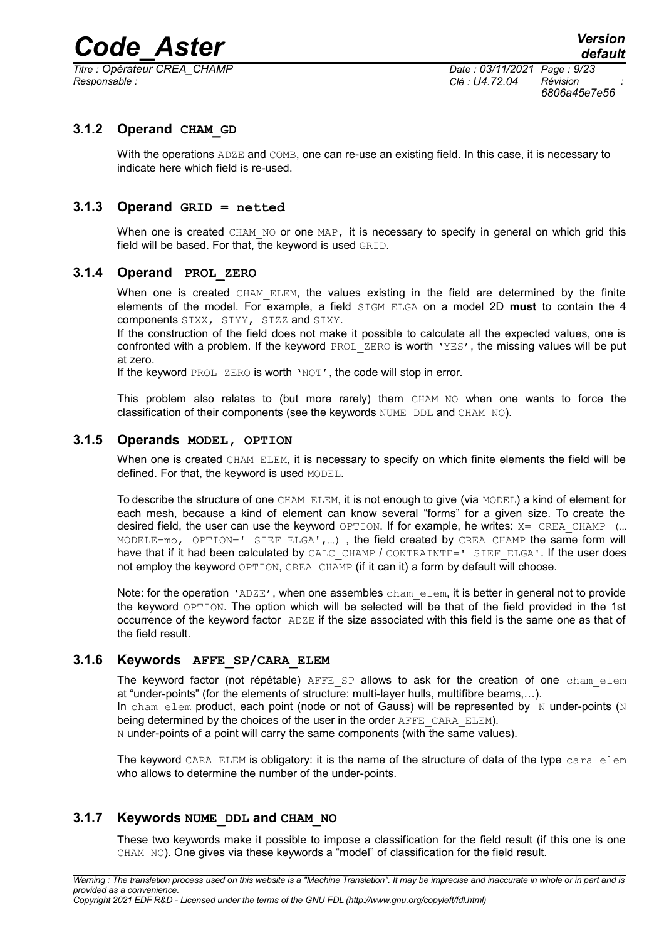*Titre : Opérateur CREA\_CHAMP Date : 03/11/2021 Page : 9/23 Responsable : Clé : U4.72.04 Révision :*

*6806a45e7e56*

#### **3.1.2 Operand CHAM\_GD**

<span id="page-8-5"></span>With the operations  $ADZE$  and  $COMB$ , one can re-use an existing field. In this case, it is necessary to indicate here which field is re-used.

#### **3.1.3 Operand GRID = netted**

<span id="page-8-4"></span>When one is created CHAM NO or one MAP, it is necessary to specify in general on which grid this field will be based. For that, the keyword is used GRID.

#### **3.1.4 Operand PROL\_ZERO**

<span id="page-8-3"></span>When one is created CHAM ELEM, the values existing in the field are determined by the finite elements of the model. For example, a field SIGM\_ELGA on a model 2D **must** to contain the 4 components SIXX, SIYY, SIZZ and SIXY.

If the construction of the field does not make it possible to calculate all the expected values, one is confronted with a problem. If the keyword PROL ZERO is worth 'YES', the missing values will be put at zero.

If the keyword PROL ZERO is worth 'NOT', the code will stop in error.

This problem also relates to (but more rarely) them CHAM NO when one wants to force the classification of their components (see the keywords NUME DDL and CHAM NO).

#### **3.1.5 Operands MODEL, OPTION**

<span id="page-8-2"></span>When one is created CHAM\_ELEM, it is necessary to specify on which finite elements the field will be defined. For that, the keyword is used MODEL.

To describe the structure of one CHAM\_ELEM, it is not enough to give (via MODEL) a kind of element for each mesh, because a kind of element can know several "forms" for a given size. To create the desired field, the user can use the keyword OPTION. If for example, he writes:  $X = CREA$  CHAMP (... MODELE=mo, OPTION=' SIEF ELGA',...), the field created by CREA CHAMP the same form will have that if it had been calculated by CALC\_CHAMP / CONTRAINTE=' SIEF\_ELGA'. If the user does not employ the keyword OPTION, CREA\_CHAMP (if it can it) a form by default will choose.

Note: for the operation 'ADZE', when one assembles cham elem, it is better in general not to provide the keyword OPTION. The option which will be selected will be that of the field provided in the 1st occurrence of the keyword factor ADZE if the size associated with this field is the same one as that of the field result.

#### **3.1.6 Keywords AFFE\_SP/CARA\_ELEM**

<span id="page-8-1"></span>The keyword factor (not répétable)  $AFFE$   $SP$  allows to ask for the creation of one cham elem at "under-points" (for the elements of structure: multi-layer hulls, multifibre beams,…). In cham elem product, each point (node or not of Gauss) will be represented by N under-points (N being determined by the choices of the user in the order AFFE\_CARA\_ELEM).

N under-points of a point will carry the same components (with the same values).

The keyword CARA ELEM is obligatory: it is the name of the structure of data of the type cara elem who allows to determine the number of the under-points.

#### **3.1.7 Keywords NUME\_DDL and CHAM\_NO**

<span id="page-8-0"></span>These two keywords make it possible to impose a classification for the field result (if this one is one CHAM NO). One gives via these keywords a "model" of classification for the field result.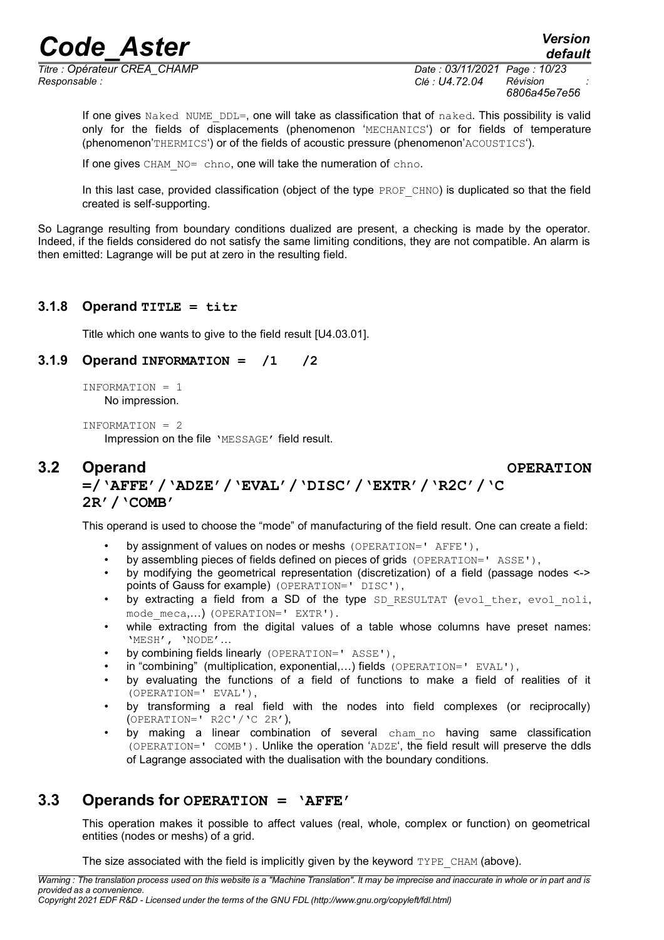*Responsable : Clé : U4.72.04 Révision :*

*Titre : Opérateur CREA\_CHAMP Date : 03/11/2021 Page : 10/23 6806a45e7e56*

If one gives Naked NUME DDL=, one will take as classification that of naked. This possibility is valid only for the fields of displacements (phenomenon 'MECHANICS') or for fields of temperature (phenomenon'THERMICS') or of the fields of acoustic pressure (phenomenon'ACOUSTICS').

If one gives CHAM\_NO= chno, one will take the numeration of chno.

In this last case, provided classification (object of the type  $PROF$  CHNO) is duplicated so that the field created is self-supporting.

So Lagrange resulting from boundary conditions dualized are present, a checking is made by the operator. Indeed, if the fields considered do not satisfy the same limiting conditions, they are not compatible. An alarm is then emitted: Lagrange will be put at zero in the resulting field.

#### **3.1.8 Operand TITLE = titr**

<span id="page-9-3"></span><span id="page-9-2"></span>Title which one wants to give to the field result [U4.03.01].

#### **3.1.9 Operand INFORMATION = /1 /2**

INFORMATION = 1 No impression.

INFORMATION = 2

<span id="page-9-1"></span>Impression on the file 'MESSAGE' field result.

#### **3.2 Operand OPERATION =/'AFFE'/'ADZE'/'EVAL'/'DISC'/'EXTR'/'R2C'/'C 2R'/'COMB'**

This operand is used to choose the "mode" of manufacturing of the field result. One can create a field:

- by assignment of values on nodes or meshs (OPERATION=' AFFE'),
- by assembling pieces of fields defined on pieces of grids (OPERATION=' ASSE'),
- by modifying the geometrical representation (discretization) of a field (passage nodes <-> points of Gauss for example) (OPERATION=' DISC'),
- by extracting a field from a SD of the type SD RESULTAT (evol ther, evol noli, mode meca,...) (OPERATION=' EXTR').
- while extracting from the digital values of a table whose columns have preset names: 'MESH', 'NODE'…
- by combining fields linearly (OPERATION=' ASSE'),
- in "combining" (multiplication, exponential,…) fields (OPERATION=' EVAL'),
- by evaluating the functions of a field of functions to make a field of realities of it (OPERATION=' EVAL'),
- by transforming a real field with the nodes into field complexes (or reciprocally) (OPERATION=' R2C'/'C 2R'),
- by making a linear combination of several cham no having same classification (OPERATION=' COMB'). Unlike the operation 'ADZE', the field result will preserve the ddls of Lagrange associated with the dualisation with the boundary conditions.

#### **3.3 Operands for OPERATION = 'AFFE'**

<span id="page-9-0"></span>This operation makes it possible to affect values (real, whole, complex or function) on geometrical entities (nodes or meshs) of a grid.

The size associated with the field is implicitly given by the keyword  $TYPE$  CHAM (above).

*Warning : The translation process used on this website is a "Machine Translation". It may be imprecise and inaccurate in whole or in part and is provided as a convenience.*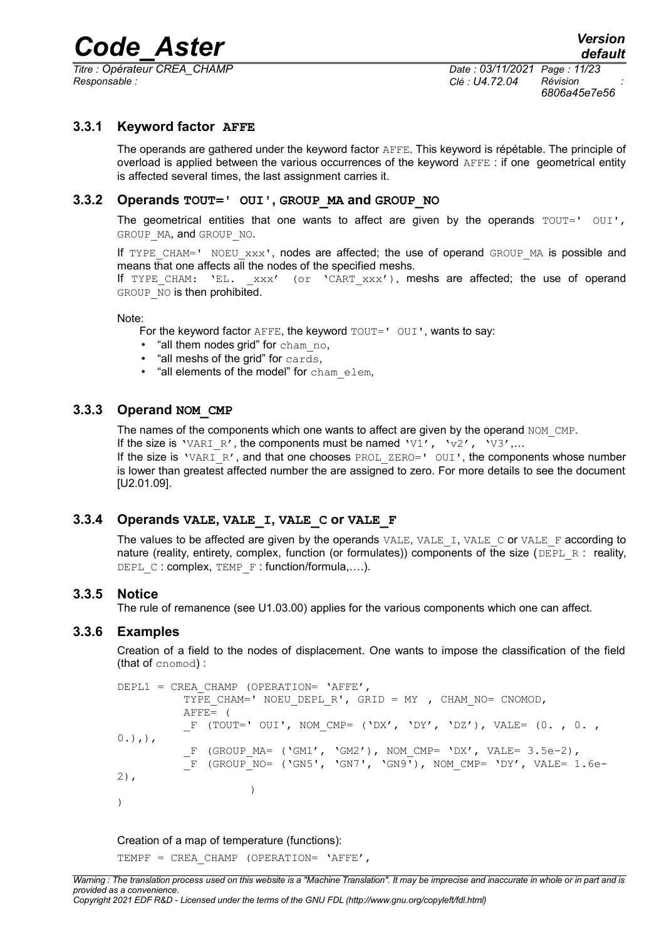*Titre : Opérateur CREA\_CHAMP Date : 03/11/2021 Page : 11/23 Responsable : Clé : U4.72.04 Révision :*

*6806a45e7e56*

#### **3.3.1 Keyword factor AFFE**

<span id="page-10-5"></span>The operands are gathered under the keyword factor AFFE. This keyword is répétable. The principle of overload is applied between the various occurrences of the keyword AFFE : if one geometrical entity is affected several times, the last assignment carries it.

#### **3.3.2 Operands TOUT=' OUI', GROUP\_MA and GROUP\_NO**

<span id="page-10-4"></span>The geometrical entities that one wants to affect are given by the operands  $TOUT="OUT$ , GROUP MA, and GROUP NO.

If TYPE CHAM=' NOEU  $xxx'$ , nodes are affected; the use of operand GROUP MA is possible and means that one affects all the nodes of the specified meshs.

If TYPE CHAM:  $'EL.$   $xxx'$  (or 'CART  $xxx'$ ), meshs are affected; the use of operand GROUP NO is then prohibited.

#### Note:

For the keyword factor  $A$ FFE, the keyword  $T$ OUT=' OUI', wants to say:

- "all them nodes grid" for cham no,
- "all meshs of the grid" for cards,
- "all elements of the model" for cham\_elem,

#### **3.3.3 Operand NOM\_CMP**

<span id="page-10-3"></span>The names of the components which one wants to affect are given by the operand NOM CMP.

If the size is 'VARI R', the components must be named 'V1', 'v2', 'V3',...

If the size is 'VARI\_R', and that one chooses PROL\_ZERO=' OUI', the components whose number is lower than greatest affected number the are assigned to zero. For more details to see the document [U2.01.09].

#### **3.3.4 Operands VALE, VALE\_I, VALE\_C or VALE\_F**

<span id="page-10-2"></span>The values to be affected are given by the operands  $VALE$ ,  $VALE$   $I$ ,  $VALE$   $C$  or  $VALE$   $F$  according to nature (reality, entirety, complex, function (or formulates)) components of the size (DEPL R: reality, DEPL C: complex, TEMP F: function/formula,....).

#### **3.3.5 Notice**

<span id="page-10-1"></span>The rule of remanence (see U1.03.00) applies for the various components which one can affect.

#### **3.3.6 Examples**

<span id="page-10-0"></span>Creation of a field to the nodes of displacement. One wants to impose the classification of the field (that of cnomod) :

```
DEPL1 = CREA CHAMP (OPERATION= 'AFFE',
          TYPE CHAM=' NOEU DEPL R', GRID = MY , CHAM NO= CNOMOD,
          AFFE= (
          F (TOUT=' OUI', NOM CMP= ('DX', 'DY', 'DZ'), VALE= (0. , 0. ,
0.),),
           F (GROUP MA= ('GM1', 'GM2'), NOM CMP= 'DX', VALE= 3.5e-2),
          \overline{F} (GROUP NO= ('GN5', 'GN7', 'GN9'), NOM CMP= 'DY', VALE= 1.6e-
2),
                     \lambda)
```
#### Creation of a map of temperature (functions):

TEMPF = CREA CHAMP (OPERATION= 'AFFE',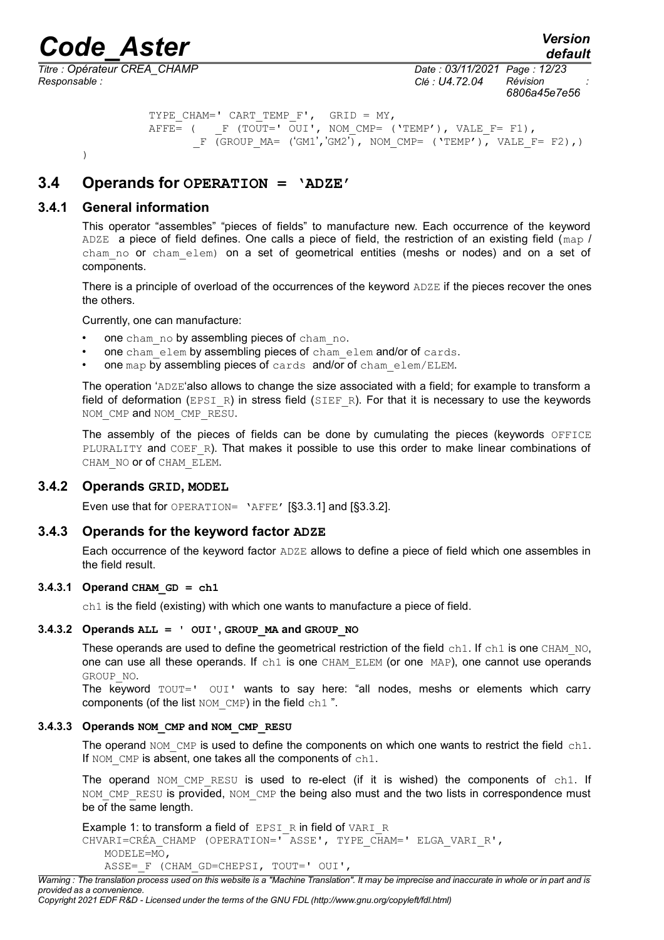*default*

*Responsable : Clé : U4.72.04 Révision :*

<span id="page-11-3"></span>)

*Titre : Opérateur CREA\_CHAMP Date : 03/11/2021 Page : 12/23 6806a45e7e56*

```
TYPE CHAM=' CART TEMP F', GRID = MY,
AFFE= ( F (TOUT=' OUI', NOM CMP= ('TEMP'), VALE F= F1),
      F (GROUP MA= ('GM1', 'GM2'), NOM CMP= ('TEMP'), VALE F= F2),)
```
#### **3.4 Operands for OPERATION = 'ADZE'**

#### **3.4.1 General information**

<span id="page-11-2"></span>This operator "assembles" "pieces of fields" to manufacture new. Each occurrence of the keyword ADZE a piece of field defines. One calls a piece of field, the restriction of an existing field ( $map$  / cham no or cham elem) on a set of geometrical entities (meshs or nodes) and on a set of components.

There is a principle of overload of the occurrences of the keyword ADZE if the pieces recover the ones the others.

Currently, one can manufacture:

- one cham no by assembling pieces of cham no.
- one cham elem by assembling pieces of cham elem and/or of cards.
- one map by assembling pieces of cards and/or of cham elem/ELEM.

The operation 'ADZE'also allows to change the size associated with a field; for example to transform a field of deformation (EPSI\_R) in stress field (SIEF\_R). For that it is necessary to use the keywords NOM\_CMP and NOM\_CMP\_RESU.

The assembly of the pieces of fields can be done by cumulating the pieces (keywords OFFICE PLURALITY and COEF R). That makes it possible to use this order to make linear combinations of CHAM\_NO or of CHAM\_ELEM.

#### **3.4.2 Operands GRID, MODEL**

<span id="page-11-1"></span>Even use that for OPERATION= 'AFFE' [§3.3.1] and [§3.3.2].

#### **3.4.3 Operands for the keyword factor ADZE**

<span id="page-11-0"></span>Each occurrence of the keyword factor ADZE allows to define a piece of field which one assembles in the field result.

#### $3.4.3.1$  Operand CHAM GD = ch1

 $ch1$  is the field (existing) with which one wants to manufacture a piece of field.

#### **3.4.3.2 Operands ALL = ' OUI', GROUP\_MA and GROUP\_NO**

These operands are used to define the geometrical restriction of the field  $ch1$ . If  $ch1$  is one CHAM NO, one can use all these operands. If ch1 is one CHAM ELEM (or one MAP), one cannot use operands GROUP\_NO.

The keyword TOUT=' OUI' wants to say here: "all nodes, meshs or elements which carry components (of the list  $NOM$  CMP) in the field  $ch1$ ".

#### **3.4.3.3 Operands NOM\_CMP and NOM\_CMP\_RESU**

The operand  $NOM$  CMP is used to define the components on which one wants to restrict the field  $\text{ch1}$ . If NOM CMP is absent, one takes all the components of ch1.

The operand NOM CMP RESU is used to re-elect (if it is wished) the components of ch1. If NOM\_CMP\_RESU is provided, NOM\_CMP the being also must and the two lists in correspondence must be of the same length.

Example 1: to transform a field of EPSI\_R in field of VARI\_R CHVARI=CRÉA\_CHAMP (OPERATION=' ASSE', TYPE\_CHAM=' ELGA\_VARI\_R', MODELE=MO, ASSE= F (CHAM GD=CHEPSI, TOUT=' OUI',

*Warning : The translation process used on this website is a "Machine Translation". It may be imprecise and inaccurate in whole or in part and is provided as a convenience.*

```
Copyright 2021 EDF R&D - Licensed under the terms of the GNU FDL (http://www.gnu.org/copyleft/fdl.html)
```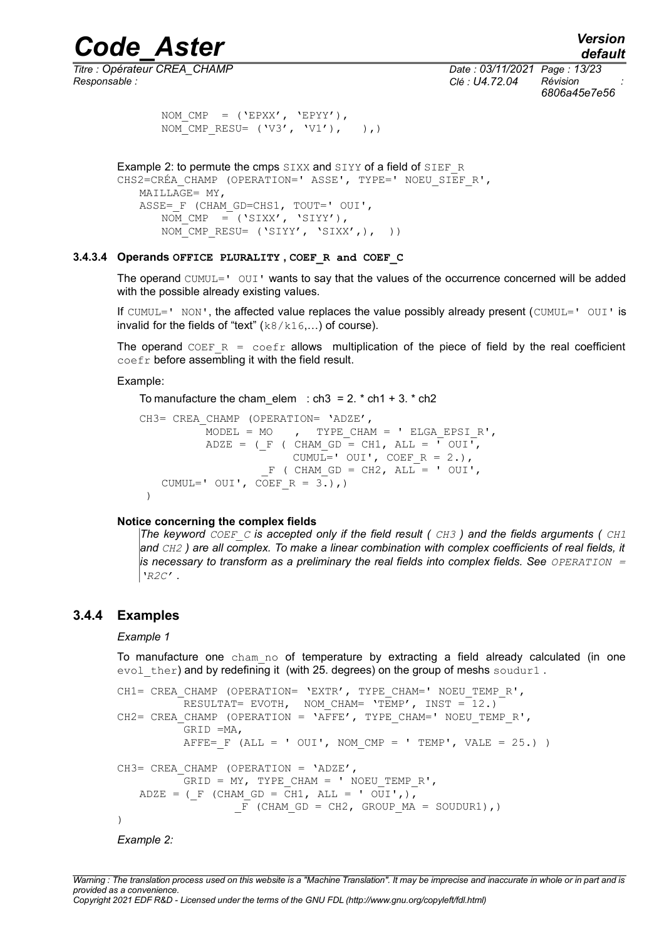*Titre : Opérateur CREA\_CHAMP Date : 03/11/2021 Page : 13/23 Responsable : Clé : U4.72.04 Révision :*

*default 6806a45e7e56*

```
NOM CMP = (YEPXX', YEPYY'),NOM CMP RESU= ('V3', 'V1'), ()
```
Example 2: to permute the cmps SIXX and SIYY of a field of SIEF\_R CHS2=CRÉA CHAMP (OPERATION=' ASSE', TYPE=' NOEU SIEF R',  $MAILLAGE= MY$ , ASSE= F (CHAM GD=CHS1, TOUT=' OUI', NOM CMP =  $($ 'SIXX', 'SIYY'), NOM CMP RESU=  $('SIYY', 'SIXX',), ()$ 

#### **3.4.3.4 Operands OFFICE PLURALITY , COEF\_R and COEF\_C**

The operand CUMUL=' OUI' wants to say that the values of the occurrence concerned will be added with the possible already existing values.

If CUMUL=' NON', the affected value replaces the value possibly already present (CUMUL='  $OUI'$  is invalid for the fields of "text"  $(k8/k16,...)$  of course).

The operand COEF  $R = \text{coeff}$  allows multiplication of the piece of field by the real coefficient coefr before assembling it with the field result.

Example:

```
To manufacture the cham elem : ch3 = 2. * ch1 + 3. * ch2
```

```
CH3= CREA CHAMP (OPERATION= 'ADZE',
          MODEL = MO, TYPE CHAM = ' ELGA EPSIR',
          ADZE = (F ( CHAM GD = CH1, ALL = \overline{V} OUI<sup>T</sup>,
                        CUMUL=' OUI', COEF R = 2.),
                    F ( CHAM GD = CH2, ALL = ' OUI',
   CUMUL=' OUT', COEF R = 3.), )
```
#### **Notice concerning the complex fields**

*The keyword COEF\_C is accepted only if the field result ( CH3 ) and the fields arguments ( CH1 and CH2 ) are all complex. To make a linear combination with complex coefficients of real fields, it is necessary to transform as a preliminary the real fields into complex fields. See OPERATION = 'R2C' .*

#### **3.4.4 Examples**

#### <span id="page-12-0"></span>*Example 1*

To manufacture one cham no of temperature by extracting a field already calculated (in one evol ther) and by redefining it (with 25. degrees) on the group of meshs soudur1.

```
CH1= CREA CHAMP (OPERATION= 'EXTR', TYPE CHAM=' NOEU TEMP R',
         RESULTAT= EVOTH, NOM CHAM= \text{TEMP}', INST = 12.)
CH2= CREA CHAMP (OPERATION = 'AFFE', TYPE CHAM=' NOEU TEMP R',
          GRID =MA,
          AFFE= F (ALL = ' OUI', NOM CMP = ' TEMP', VALE = 25.) )
CH3= CREA CHAMP (OPERATION = 'ADZE',
         GRID = MY, TYPE CHAM = ' NOEU TEMP R',
   ADZE = (F (CHAM GD = CH1, ALL = ' OUI',),
                 F (CHAM GD = CH2, GROUP MA = SOUDUR1),)
)
```
*Example 2:*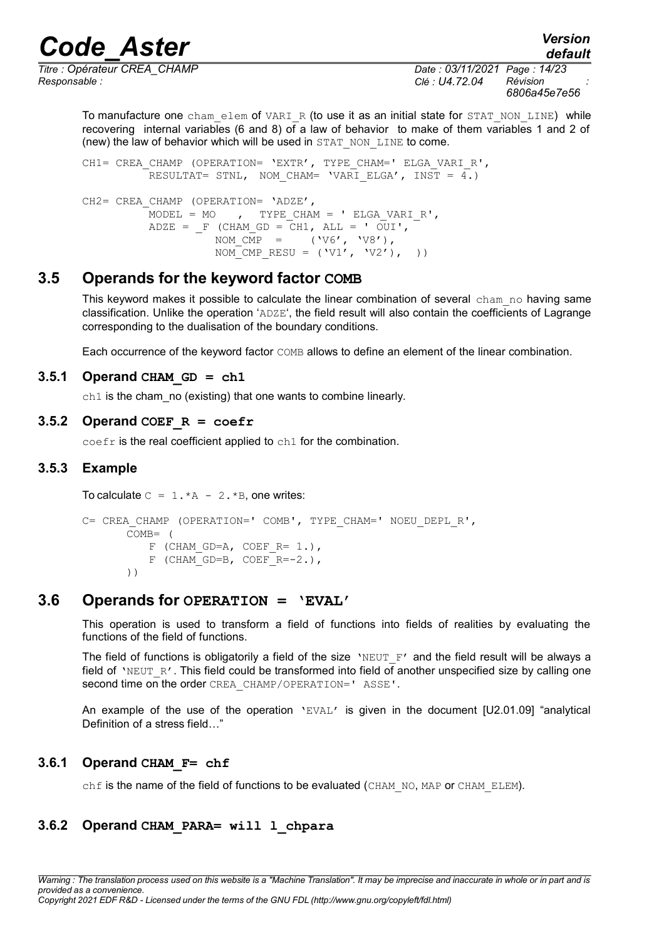*Responsable : Clé : U4.72.04 Révision :*

*Titre : Opérateur CREA\_CHAMP Date : 03/11/2021 Page : 14/23 6806a45e7e56*

*default*

To manufacture one cham elem of VARI\_R (to use it as an initial state for STAT\_NON\_LINE) while recovering internal variables (6 and 8) of a law of behavior to make of them variables 1 and 2 of (new) the law of behavior which will be used in STAT\_NON\_LINE to come.

CH1= CREA CHAMP (OPERATION= 'EXTR', TYPE CHAM=' ELGA VARI R', RESULTAT= STNL, NOM CHAM= 'VARI ELGA', INST =  $4.$ ) CH2= CREA CHAMP (OPERATION= 'ADZE', MODEL = MO  $\,$ , TYPE CHAM = ' ELGA VARI R', ADZE =  $F$  (CHAM GD = CH1, ALL = ' OUI', NOM  $\overline{CMP}$  = ('V6', 'V8'), NOM CMP RESU =  $(V1', V2'),$ )

#### **3.5 Operands for the keyword factor COMB**

<span id="page-13-6"></span>This keyword makes it possible to calculate the linear combination of several cham no having same classification. Unlike the operation 'ADZE', the field result will also contain the coefficients of Lagrange corresponding to the dualisation of the boundary conditions.

Each occurrence of the keyword factor COMB allows to define an element of the linear combination.

#### $3.5.1$  Operand CHAM GD = ch1

<span id="page-13-5"></span>ch1 is the cham no (existing) that one wants to combine linearly.

#### **3.5.2 Operand COEF**  $R = \text{coeff}$

<span id="page-13-4"></span><span id="page-13-3"></span>coefr is the real coefficient applied to ch1 for the combination.

#### **3.5.3 Example**

To calculate  $C = 1.*A - 2.*B$ , one writes:

```
C= CREA CHAMP (OPERATION=' COMB', TYPE CHAM=' NOEU DEPL R',
      COMB= (
          F (CHAM GD=A, COEF R= 1.),
          F (CHAM GD=B, COEF R=-2.),
      ))
```
#### **3.6 Operands for OPERATION = 'EVAL'**

<span id="page-13-2"></span>This operation is used to transform a field of functions into fields of realities by evaluating the functions of the field of functions.

The field of functions is obligatorily a field of the size 'NEUT  $F'$  and the field result will be always a field of 'NEUT R'. This field could be transformed into field of another unspecified size by calling one second time on the order CREA\_CHAMP/OPERATION=' ASSE'.

An example of the use of the operation 'EVAL' is given in the document [U2.01.09] "analytical Definition of a stress field…"

#### **3.6.1 Operand CHAM\_F= chf**

<span id="page-13-1"></span><span id="page-13-0"></span>chf is the name of the field of functions to be evaluated (CHAM\_NO, MAP or CHAM\_ELEM).

#### **3.6.2 Operand CHAM\_PARA= will l\_chpara**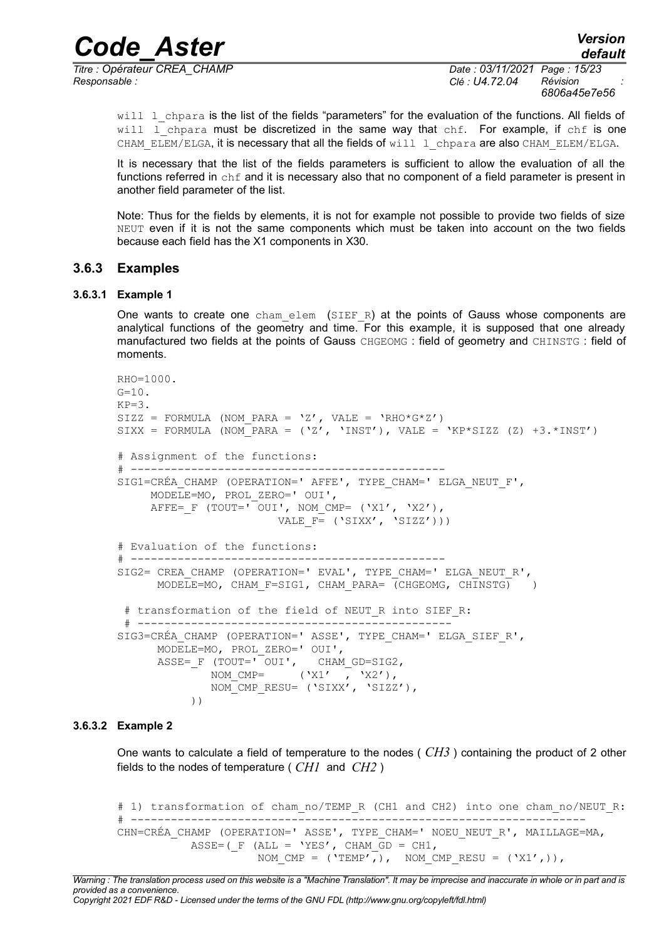*Titre : Opérateur CREA\_CHAMP Date : 03/11/2021 Page : 15/23 Responsable : Clé : U4.72.04 Révision :*

*6806a45e7e56*

*default*

will 1 chpara is the list of the fields "parameters" for the evaluation of the functions. All fields of will  $\Gamma$  chpara must be discretized in the same way that chf. For example, if chf is one CHAM\_ELEM/ELGA, it is necessary that all the fields of will  $\,$  1 chpara are also CHAM\_ELEM/ELGA.

It is necessary that the list of the fields parameters is sufficient to allow the evaluation of all the functions referred in chf and it is necessary also that no component of a field parameter is present in another field parameter of the list.

Note: Thus for the fields by elements, it is not for example not possible to provide two fields of size NEUT even if it is not the same components which must be taken into account on the two fields because each field has the X1 components in X30.

#### <span id="page-14-0"></span>**3.6.3 Examples**

#### **3.6.3.1 Example 1**

One wants to create one cham elem (SIEF R) at the points of Gauss whose components are analytical functions of the geometry and time. For this example, it is supposed that one already manufactured two fields at the points of Gauss CHGEOMG : field of geometry and CHINSTG : field of moments.

```
RHO=1000.
G=10.
KP=3SIZZ = FORMULA (NOM PARA = 'Z', VALE = 'RHO*G*Z')
SIXX = FORMULA (NOM_PARA = (YZ', Y'INST'), VALE = YKP*SIZZ (Z) +3.*INST')# Assignment of the functions:
# -----------------------------------------------
SIG1=CRÉA CHAMP (OPERATION=' AFFE', TYPE CHAM=' ELGA NEUT F',
      MODELE=MO, PROL_ZERO=' OUI',
     AFFE= F (TOUT='\overline{O}OUI', NOM CMP= ('X1', 'X2'),
                        VALE F = (YSIXX', YSIZZ'))# Evaluation of the functions:
# -----------------------------------------------
SIG2= CREA CHAMP (OPERATION=' EVAL', TYPE CHAM=' ELGA NEUT R',
      MODELE=MO, CHAM F=SIG1, CHAM PARA= (CHGEOMG, CHINSTG) )
 # transformation of the field of NEUT R into SIEF R:
 # -----------------------------------------------
SIG3=CRÉA_CHAMP (OPERATION=' ASSE', TYPE_CHAM=' ELGA_SIEF_R',
       MODELE=MO, PROL_ZERO=' OUI',
       ASSE=_F (TOUT=' OUI', CHAM_GD=SIG2,
             NOM CMP= ('X1' , 'X2'),
              NOM_CMP_RESU= ('SIXX', 'SIZZ'),
            ))
```
#### **3.6.3.2 Example 2**

One wants to calculate a field of temperature to the nodes ( *CH3* ) containing the product of 2 other fields to the nodes of temperature ( *CH1* and *CH2* )

```
# 1) transformation of cham no/TEMP R (CH1 and CH2) into one cham no/NEUT R:
# --------------------------------------------------------------------
CHN=CRÉA_CHAMP (OPERATION=' ASSE', TYPE_CHAM=' NOEU_NEUT_R', MAILLAGE=MA,
           ASSE=(F (ALL = 'YES', CHAM \overline{G}D = CH1,
                     NOM CMP = ('TEMP',), NOM CMP RESU = ('X1',)),
```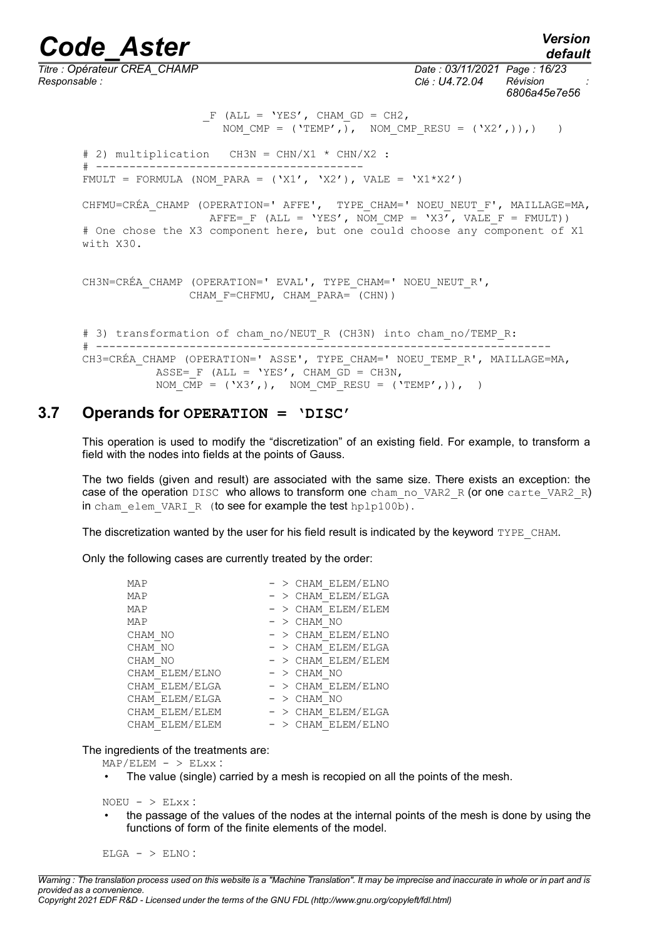#### *Code\_Aster Version default Titre : Opérateur CREA\_CHAMP Date : 03/11/2021 Page : 16/23 Responsable : Clé : U4.72.04 Révision : 6806a45e7e56*  $F$  (ALL = 'YES', CHAM GD = CH2, NOM CMP =  $('TEMP',),$  NOM CMP RESU =  $('X2',),),$ ) # 2) multiplication CH3N = CHN/X1 \* CHN/X2 : # ---------------------------------------- FMULT = FORMULA (NOM PARA = ('X1', 'X2'), VALE = 'X1\*X2') CHFMU=CRÉA CHAMP (OPERATION=' AFFE', TYPE CHAM=' NOEU NEUT F', MAILLAGE=MA, AFFE= F (ALL = 'YES', NOM CMP = 'X3<sup>7</sup>, VALE F = FMULT)) # One chose the X3 component here, but one could choose any component of X1 with X30. CH3N=CRÉA CHAMP (OPERATION=' EVAL', TYPE CHAM=' NOEU NEUT R', CHAM F=CHFMU, CHAM PARA= (CHN)) # 3) transformation of cham no/NEUT R (CH3N) into cham no/TEMP R: # -------------------------------------------------------------------- CH3=CRÉA CHAMP (OPERATION=' ASSE', TYPE CHAM=' NOEU TEMP R', MAILLAGE=MA,

### **3.7 Operands for OPERATION = 'DISC'**

ASSE= F (ALL = 'YES', CHAM  $\overline{GD}$  = CH3N,

<span id="page-15-0"></span>This operation is used to modify the "discretization" of an existing field. For example, to transform a field with the nodes into fields at the points of Gauss.

NOM CMP =  $('X3',),$  NOM CMP RESU =  $('TEMP',)),$ 

The two fields (given and result) are associated with the same size. There exists an exception: the case of the operation DISC who allows to transform one cham no VAR2 R (or one carte VAR2 R) in cham elem VARI R (to see for example the test hplp100b).

The discretization wanted by the user for his field result is indicated by the keyword TYPE\_CHAM.

Only the following cases are currently treated by the order:

| MAP            | $-$ > CHAM ELEM/ELNO |
|----------------|----------------------|
| MAP            | $-$ > CHAM ELEM/ELGA |
| MAP            | $-$ > CHAM ELEM/ELEM |
| MAP            | $-$ > CHAM NO        |
| CHAM NO        | $-$ > CHAM ELEM/ELNO |
| CHAM NO        | $-$ > CHAM ELEM/ELGA |
| CHAM NO        | $-$ > CHAM ELEM/ELEM |
| CHAM ELEM/ELNO | - > CHAM NO          |
| CHAM ELEM/ELGA | $-$ > CHAM ELEM/ELNO |
| CHAM ELEM/ELGA | $-$ > CHAM NO        |
| CHAM ELEM/ELEM | $-$ > CHAM ELEM/ELGA |
| CHAM ELEM/ELEM | $-$ > CHAM ELEM/ELNO |

The ingredients of the treatments are:

 $MAP/ELEM - > ELXX$ :

The value (single) carried by a mesh is recopied on all the points of the mesh.

 $NOEU - > ELXX$ :

• the passage of the values of the nodes at the internal points of the mesh is done by using the functions of form of the finite elements of the model.

 $ELGA - > ELNO$ :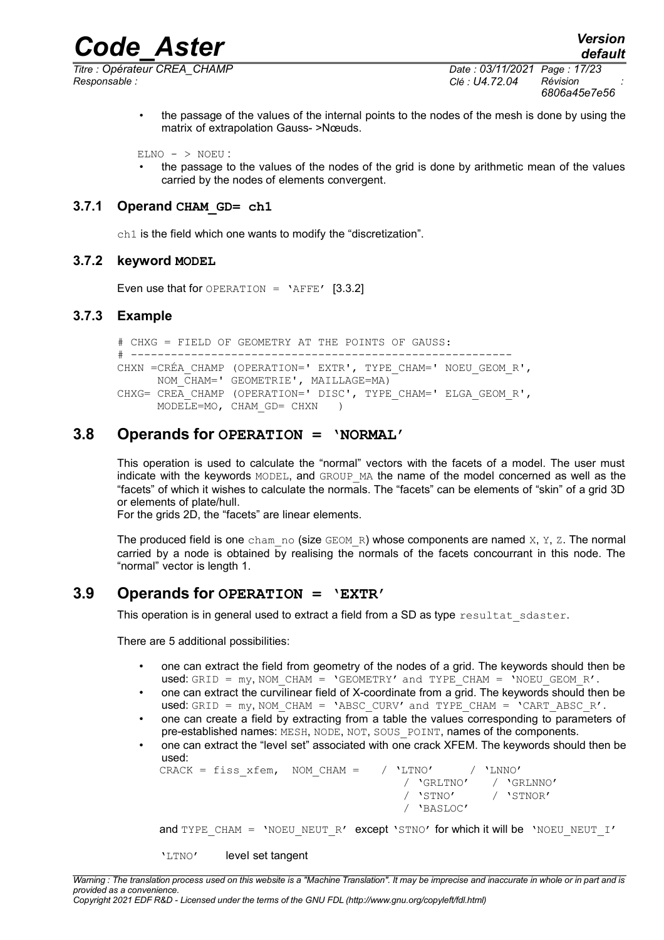

*Titre : Opérateur CREA\_CHAMP Date : 03/11/2021 Page : 17/23 Responsable : Clé : U4.72.04 Révision :*

*6806a45e7e56*

• the passage of the values of the internal points to the nodes of the mesh is done by using the matrix of extrapolation Gauss- >Nœuds.

 $ELNO - > NOEU$ :

• the passage to the values of the nodes of the grid is done by arithmetic mean of the values carried by the nodes of elements convergent.

#### **3.7.1 Operand CHAM\_GD= ch1**

<span id="page-16-3"></span><span id="page-16-2"></span>ch1 is the field which one wants to modify the "discretization".

#### **3.7.2 keyword MODEL**

<span id="page-16-1"></span>Even use that for OPERATION =  $'$ AFFE' [3.3.2]

#### **3.7.3 Example**

# CHXG = FIELD OF GEOMETRY AT THE POINTS OF GAUSS: # --------------------------------------------------------- CHXN =CRÉA\_CHAMP (OPERATION=' EXTR', TYPE\_CHAM=' NOEU\_GEOM\_R', NOM\_CHAM=' GEOMETRIE', MAILLAGE=MA) CHXG= CREA CHAMP (OPERATION=' DISC', TYPE CHAM=' ELGA GEOM R',  $MODELE=MO$ , CHAM GD= CHXN )

#### **3.8 Operands for OPERATION = 'NORMAL'**

<span id="page-16-0"></span>This operation is used to calculate the "normal" vectors with the facets of a model. The user must indicate with the keywords MODEL, and GROUP MA the name of the model concerned as well as the "facets" of which it wishes to calculate the normals. The "facets" can be elements of "skin" of a grid 3D or elements of plate/hull.

For the grids 2D, the "facets" are linear elements.

The produced field is one cham no (size GEOM R) whose components are named  $X$ ,  $Y$ ,  $Z$ . The normal carried by a node is obtained by realising the normals of the facets concourrant in this node. The "normal" vector is length 1.

#### **3.9 Operands for OPERATION = 'EXTR'**

<span id="page-16-4"></span>This operation is in general used to extract a field from a SD as type resultat sdaster.

There are 5 additional possibilities:

- one can extract the field from geometry of the nodes of a grid. The keywords should then be used: GRID =  $my$ , NOM CHAM = 'GEOMETRY' and TYPE CHAM = 'NOEU GEOM R'.
- one can extract the curvilinear field of X-coordinate from a grid. The keywords should then be used: GRID =  $my$ , NOM\_CHAM = 'ABSC\_CURV' and TYPE\_CHAM = 'CART\_ABSC\_R'.
- one can create a field by extracting from a table the values corresponding to parameters of pre-established names: MESH, NODE, NOT, SOUS POINT, names of the components.
- one can extract the "level set" associated with one crack XFEM. The keywords should then be used:

|  | $\mathtt{CRACK}$ = fiss xfem, NOM CHAM = $/$ 'LTNO' $/$ 'LNNO' |  |                    |  |                       |
|--|----------------------------------------------------------------|--|--------------------|--|-----------------------|
|  |                                                                |  |                    |  | / 'GRLTNO' / 'GRLNNO' |
|  |                                                                |  | / 'STNO' / 'STNOR' |  |                       |
|  |                                                                |  | / 'BASLOC'         |  |                       |

and TYPE CHAM = 'NOEU NEUT R' except 'STNO' for which it will be 'NOEU NEUT I'

'LTNO' level set tangent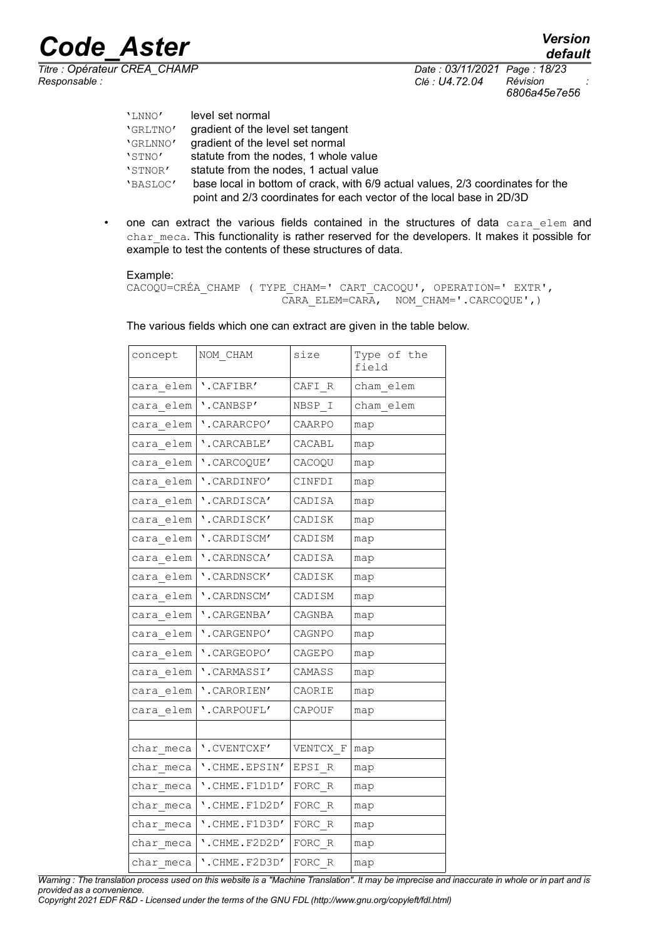*Titre : Opérateur CREA\_CHAMP Date : 03/11/2021 Page : 18/23 Responsable : Clé : U4.72.04 Révision :*

*default 6806a45e7e56*

| 'LNNO'   | level set normal                                                               |
|----------|--------------------------------------------------------------------------------|
| 'GRLTNO' | gradient of the level set tangent                                              |
| 'GRLNNO' | gradient of the level set normal                                               |
| 'STNO'   | statute from the nodes, 1 whole value                                          |
| 'STNOR'  | statute from the nodes, 1 actual value                                         |
| 'BASLOC' | base local in bottom of crack, with 6/9 actual values, 2/3 coordinates for the |
|          | point and 2/3 coordinates for each vector of the local base in 2D/3D           |

• one can extract the various fields contained in the structures of data cara elem and char meca. This functionality is rather reserved for the developers. It makes it possible for example to test the contents of these structures of data.

#### Example:

```
CACOQU=CRÉA_CHAMP ( TYPE_CHAM=' CART_CACOQU', OPERATION=' EXTR', 
                       CARA_ELEM=CARA, NOM_CHAM='.CARCOQUE',)
```

| concept   | NOM CHAM                    | size     | Type of the<br>field |
|-----------|-----------------------------|----------|----------------------|
| cara elem | '.CAFIBR'                   | CAFI R   | cham elem            |
| cara elem | '.CANBSP'                   | NBSP I   | cham elem            |
| cara elem | '.CARARCPO'                 | CAARPO   | map                  |
| cara elem | '.CARCABLE'                 | CACABL   | map                  |
| cara elem | '.CARCOQUE'                 | CACOQU   | map                  |
| cara elem | '.CARDINFO'                 | CINFDI   | map                  |
| cara elem | '.CARDISCA'                 | CADISA   | map                  |
| cara elem | '.CARDISCK'                 | CADISK   | map                  |
| cara elem | '.CARDISCM'                 | CADISM   | map                  |
| cara elem | '.CARDNSCA'                 | CADISA   | map                  |
| cara elem | '.CARDNSCK'                 | CADISK   | map                  |
| cara elem | '.CARDNSCM'                 | CADISM   | map                  |
| cara elem | '.CARGENBA'                 | CAGNBA   | map                  |
| cara elem | '.CARGENPO'                 | CAGNPO   | map                  |
| cara elem | '.CARGEOPO'                 | CAGEPO   | map                  |
| cara elem | '.CARMASSI'                 | CAMASS   | map                  |
| cara elem | '.CARORIEN'                 | CAORIE   | map                  |
| cara elem | '.CARPOUFL'                 | CAPOUF   | map                  |
|           |                             |          |                      |
| char meca | '.CVENTCXF'                 | VENTCX F | map                  |
| char meca | '.CHME.EPSIN'               | EPSI R   | map                  |
| char meca | '.CHME.F1D1D'               | FORC R   | map                  |
| char meca | '.CHME.F1D2D'               | FORC R   | map                  |
| char meca | $'.$ CHME.F $1$ D $3$ D $'$ | FORC R   | map                  |
| char meca | '.CHME.F2D2D'               | FORC R   | map                  |
| char meca | '.CHME.F2D3D'               | FORC R   | map                  |

The various fields which one can extract are given in the table below.

*Copyright 2021 EDF R&D - Licensed under the terms of the GNU FDL (http://www.gnu.org/copyleft/fdl.html)*

*Warning : The translation process used on this website is a "Machine Translation". It may be imprecise and inaccurate in whole or in part and is provided as a convenience.*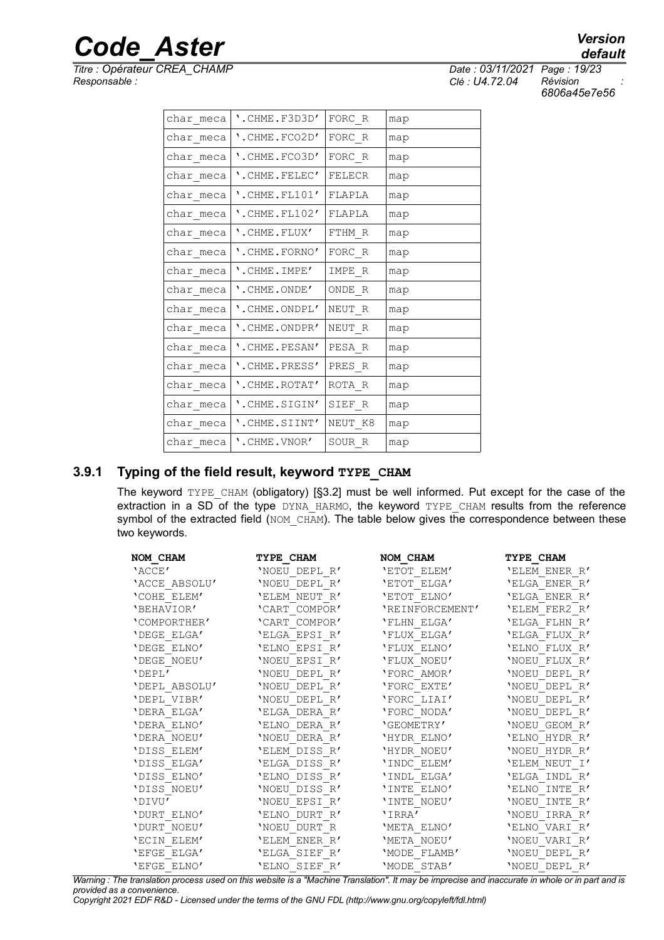*Titre : Opérateur CREA\_CHAMP<br>Responsable :* 

|                  | defau |
|------------------|-------|
| 2021 Page: 19/23 |       |

*Responsable : Clé : U4.72.04 Révision : 6806a45e7e56*

| char meca | $'.$ CHME.F3D3D'    | FORC R            | map |
|-----------|---------------------|-------------------|-----|
| char meca | '.CHME.FCO2D'       | FORC R            | map |
| char meca | '.CHME.FCO3D'       | $\texttt{FORC}_R$ | map |
| char meca | '.CHME.FELEC'       | FELECR            | map |
| char meca | $'.$ CHME.FL $101'$ | FLAPLA            | map |
| char meca | '. CHME. FL102'     | FLAPLA            | map |
| char meca | '.CHME.FLUX'        | FTHM R            | map |
| char meca | '.CHME.FORNO'       | FORC R            | map |
| char meca | '.CHME.IMPE'        | IMPE R            | map |
| char meca | '.CHME.ONDE'        | ONDE R            | map |
| char meca | '.CHME.ONDPL'       | NEUT R            | map |
| char meca | '.CHME.ONDPR'       | NEUT R            | map |
| char meca | '.CHME.PESAN'       | PESA R            | map |
| char meca | '.CHME.PRESS'       | PRES R            | map |
| char meca | '.CHME.ROTAT'       | ROTA R            | map |
| char meca | '.CHME.SIGIN'       | SIEF R            | map |
| char meca | '.CHME.SIINT'       | NEUT K8           | map |
| char meca | '.CHME.VNOR'        | SOUR R            | map |
|           |                     |                   |     |

#### **3.9.1 Typing of the field result, keyword TYPE\_CHAM**

<span id="page-18-0"></span>The keyword TYPE\_CHAM (obligatory) [§3.2] must be well informed. Put except for the case of the extraction in a SD of the type DYNA HARMO, the keyword TYPE CHAM results from the reference symbol of the extracted field (NOM CHAM). The table below gives the correspondence between these two keywords.

| NOM CHAM      | TYPE CHAM     | NOM CHAM        | TYPE CHAM     |
|---------------|---------------|-----------------|---------------|
| 'ACCE'        | 'NOEU DEPL R' | 'ETOT ELEM'     | 'ELEM ENER R' |
| 'ACCE ABSOLU' | 'NOEU DEPL R' | 'ETOT ELGA'     | 'ELGA ENER R' |
| 'COHE ELEM'   | 'ELEM NEUT R' | 'ETOT ELNO'     | 'ELGA ENER R' |
| 'BEHAVIOR'    | 'CART COMPOR' | 'REINFORCEMENT' | 'ELEM FER2 R' |
| 'COMPORTHER'  | 'CART COMPOR' | 'FLHN ELGA'     | 'ELGA FLHN R' |
| 'DEGE ELGA'   | 'ELGA EPSI R' | 'FLUX ELGA'     | 'ELGA FLUX R' |
| 'DEGE ELNO'   | 'ELNO EPSI R' | 'FLUX ELNO'     | 'ELNO FLUX R' |
| 'DEGE NOEU'   | 'NOEU EPSI R' | 'FLUX NOEU'     | 'NOEU FLUX R' |
| 'DEPL'        | 'NOEU DEPL R' | 'FORC AMOR'     | 'NOEU DEPL R' |
| 'DEPL ABSOLU' | 'NOEU DEPL R' | 'FORC EXTE'     | 'NOEU DEPL R' |
| 'DEPL VIBR'   | 'NOEU DEPL R' | 'FORC LIAI'     | 'NOEU DEPL R' |
| 'DERA ELGA'   | 'ELGA DERA R' | 'FORC NODA'     | 'NOEU DEPL R' |
| 'DERA ELNO'   | 'ELNO DERA R' | 'GEOMETRY'      | 'NOEU GEOM R' |
| 'DERA NOEU'   | 'NOEU DERA R' | 'HYDR ELNO'     | 'ELNO HYDR R' |
| 'DISS ELEM'   | 'ELEM DISS R' | 'HYDR NOEU'     | 'NOEU HYDR R' |
| 'DISS ELGA'   | 'ELGA DISS R' | 'INDC ELEM'     | 'ELEM NEUT I' |
| 'DISS ELNO'   | 'ELNO DISS R' | 'INDL ELGA'     | 'ELGA INDL R' |
| 'DISS NOEU'   | 'NOEU DISS R' | 'INTE ELNO'     | 'ELNO INTE R' |
| 'DIVU'        | 'NOEU EPSI R' | 'INTE NOEU'     | 'NOEU INTE R' |
| 'DURT ELNO'   | 'ELNO DURT R' | 'IRRA'          | 'NOEU IRRA R' |
| 'DURT NOEU'   | 'NOEU DURT R  | 'META ELNO'     | 'ELNO VARI R' |
| 'ECIN ELEM'   | 'ELEM ENER R' | 'META NOEU'     | 'NOEU VARI R' |
| 'EFGE ELGA'   | 'ELGA SIEF R' | 'MODE FLAMB'    | 'NOEU DEPL R' |
| 'EFGE ELNO'   | 'ELNO SIEF R' | 'MODE STAB'     | 'NOEU DEPL R' |

*Warning : The translation process used on this website is a "Machine Translation". It may be imprecise and inaccurate in whole or in part and is provided as a convenience.*

*Copyright 2021 EDF R&D - Licensed under the terms of the GNU FDL (http://www.gnu.org/copyleft/fdl.html)*

### *default*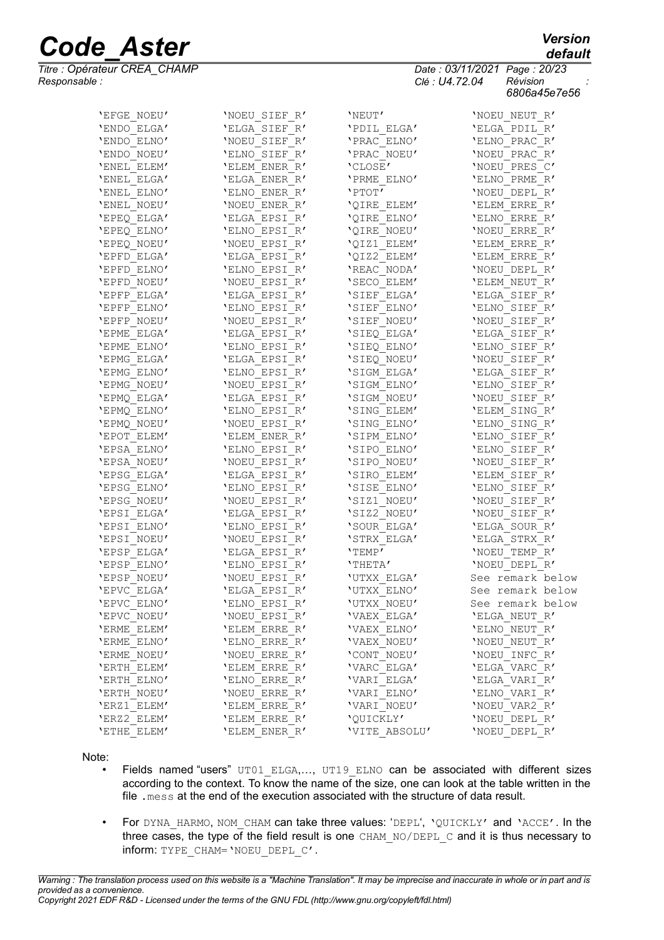*Titre : Opérateur CREA\_CHAMP Date : 03/11/2021 Page : 20/23 Responsable : Clé : U4.72.04 Révision :*

| 'ENDO ELGA' | 'ELGA SIEF R' | 'PDIL ELGA'   | 'ELGA PDIL R'    |
|-------------|---------------|---------------|------------------|
| 'ENDO ELNO' | 'NOEU SIEF R' | 'PRAC ELNO'   | 'ELNO PRAC R'    |
| 'ENDO NOEU' | 'ELNO SIEF R' | 'PRAC NOEU'   | 'NOEU PRAC R'    |
| 'ENEL ELEM' | 'ELEM ENER R' | 'CLOSE'       | 'NOEU PRES C'    |
| 'ENEL ELGA' | 'ELGA ENER R' | 'PRME ELNO'   | 'ELNO PRME R'    |
| 'ENEL ELNO' | 'ELNO ENER R' | 'PTOT'        | 'NOEU DEPL R'    |
| 'ENEL NOEU' | 'NOEU ENER R' | 'QIRE ELEM'   | 'ELEM ERRE R'    |
| 'EPEQ ELGA' | 'ELGA EPSI R' | 'QIRE ELNO'   | 'ELNO ERRE R'    |
| 'EPEQ ELNO' | 'ELNO EPSI R' | 'QIRE NOEU'   | 'NOEU ERRE R'    |
| 'EPEQ NOEU' | 'NOEU EPSI R' | 'QIZ1 ELEM'   | 'ELEM ERRE R'    |
| 'EPFD ELGA' | 'ELGA EPSI R' | 'QIZ2 ELEM'   | 'ELEM ERRE R'    |
| 'EPFD ELNO' | 'ELNO EPSI R' | 'REAC NODA'   | 'NOEU DEPL R'    |
| 'EPFD NOEU' | 'NOEU EPSI R' | 'SECO ELEM'   | 'ELEM NEUT R'    |
| 'EPFP ELGA' | 'ELGA EPSI R' | 'SIEF ELGA'   | 'ELGA SIEF R'    |
| 'EPFP ELNO' | 'ELNO EPSI R' | 'SIEF ELNO'   | 'ELNO SIEF R'    |
| 'EPFP NOEU' | 'NOEU EPSI R' | 'SIEF NOEU'   | 'NOEU SIEF R'    |
| 'EPME ELGA' | 'ELGA EPSI R' | 'SIEQ ELGA'   | 'ELGA SIEF R'    |
| 'EPME ELNO' | 'ELNO EPSI R' | 'SIEQ ELNO'   | 'ELNO SIEF R'    |
| 'EPMG ELGA' | 'ELGA EPSI R' | 'SIEQ NOEU'   | 'NOEU SIEF R'    |
| 'EPMG ELNO' | 'ELNO EPSI R' | 'SIGM ELGA'   | 'ELGA SIEF R'    |
| 'EPMG NOEU' | 'NOEU EPSI R' | 'SIGM ELNO'   | 'ELNO SIEF R'    |
| 'EPMQ ELGA' | 'ELGA EPSI R' | 'SIGM NOEU'   | 'NOEU SIEF R'    |
| 'EPMQ ELNO' | 'ELNO EPSI R' | 'SING ELEM'   | 'ELEM SING R'    |
| 'EPMQ NOEU' | 'NOEU EPSI R' | 'SING ELNO'   | 'ELNO SING R'    |
| 'EPOT ELEM' | 'ELEM ENER R' | 'SIPM ELNO'   | 'ELNO SIEF R'    |
| 'EPSA ELNO' | 'ELNO EPSI R' | 'SIPO ELNO'   | 'ELNO SIEF R'    |
| 'EPSA NOEU' | 'NOEU EPSI R' | 'SIPO NOEU'   | 'NOEU SIEF R'    |
| 'EPSG ELGA' | 'ELGA EPSI R' | 'SIRO ELEM'   | 'ELEM SIEF R'    |
| 'EPSG ELNO' | 'ELNO EPSI R' | 'SISE ELNO'   | 'ELNO SIEF R'    |
| 'EPSG NOEU' | 'NOEU EPSI R' | 'SIZ1 NOEU'   | 'NOEU SIEF R'    |
| 'EPSI ELGA' | 'ELGA EPSI R' | 'SIZ2 NOEU'   | 'NOEU SIEF R'    |
| 'EPSI ELNO' | 'ELNO EPSI R' | 'SOUR ELGA'   | 'ELGA SOUR R'    |
| 'EPSI NOEU' | 'NOEU EPSI R' | 'STRX ELGA'   | 'ELGA STRX R'    |
| 'EPSP ELGA' | 'ELGA EPSI R' | 'TEMP'        | 'NOEU TEMP R'    |
| 'EPSP ELNO' | 'ELNO EPSI R' | 'THETA'       | 'NOEU DEPL R'    |
| 'EPSP NOEU' | 'NOEU EPSI R' | 'UTXX ELGA'   | See remark below |
| 'EPVC ELGA' | 'ELGA EPSI R' | 'UTXX ELNO'   | See remark below |
| 'EPVC ELNO' | 'ELNO EPSI R' | 'UTXX NOEU'   | See remark below |
| 'EPVC NOEU' | 'NOEU EPSI R' | 'VAEX ELGA'   | 'ELGA NEUT R'    |
| 'ERME ELEM' | 'ELEM ERRE R' | 'VAEX ELNO'   | 'ELNO NEUT R'    |
| 'ERME ELNO' | 'ELNO ERRE R' | 'VAEX NOEU'   | 'NOEU NEUT R'    |
| 'ERME NOEU' | 'NOEU ERRE R' | 'CONT NOEU'   | 'NOEU INFC R'    |
| 'ERTH ELEM' | 'ELEM ERRE R' | 'VARC ELGA'   | 'ELGA VARC R'    |
| 'ERTH ELNO' | 'ELNO ERRE R' | 'VARI ELGA'   | 'ELGA VARI R'    |
| 'ERTH NOEU' | 'NOEU ERRE R' | 'VARI ELNO'   | 'ELNO VARI R'    |
| 'ERZ1 ELEM' | 'ELEM ERRE R' | 'VARI NOEU'   | 'NOEU VAR2 R'    |
| 'ERZ2 ELEM' | 'ELEM ERRE R' | 'QUICKLY'     | 'NOEU DEPL R'    |
| 'ETHE ELEM' | 'ELEM ENER R' | 'VITE ABSOLU' | 'NOEU DEPL R'    |

'EFGE\_NOEU' 'NOEU\_SIEF\_R' 'NEUT' 'NOEU\_NEUT\_R'

#### Note:

- Fields named "users" UT01 ELGA,..., UT19\_ELNO can be associated with different sizes according to the context. To know the name of the size, one can look at the table written in the file .mess at the end of the execution associated with the structure of data result.
- For DYNA HARMO, NOM CHAM can take three values: 'DEPL', 'QUICKLY' and 'ACCE'. In the three cases, the type of the field result is one CHAM\_NO/DEPL\_C and it is thus necessary to inform: TYPE\_CHAM='NOEU\_DEPL\_C'.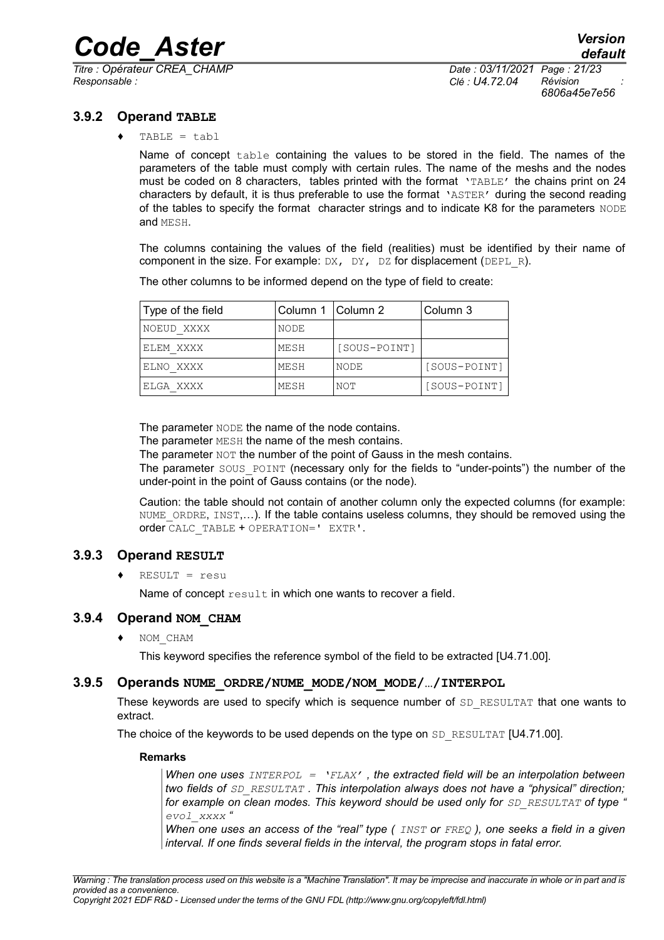*Titre : Opérateur CREA\_CHAMP Date : 03/11/2021 Page : 21/23 Responsable : Clé : U4.72.04 Révision :*

*6806a45e7e56*

#### **3.9.2 Operand TABLE**

<span id="page-20-3"></span> $TABLE = tabl$ 

Name of concept table containing the values to be stored in the field. The names of the parameters of the table must comply with certain rules. The name of the meshs and the nodes must be coded on 8 characters, tables printed with the format 'TABLE' the chains print on 24 characters by default, it is thus preferable to use the format 'ASTER' during the second reading of the tables to specify the format character strings and to indicate K8 for the parameters NODE and MESH.

The columns containing the values of the field (realities) must be identified by their name of component in the size. For example:  $DX$ ,  $DY$ ,  $DZ$  for displacement ( $DEPL$  R).

The other columns to be informed depend on the type of field to create:

| Type of the field | Column 1   Column 2 |              | Column 3     |
|-------------------|---------------------|--------------|--------------|
| NOEUD XXXX        | NODE                |              |              |
| ELEM XXXX         | MESH                | [SOUS-POINT] |              |
| ELNO XXXX         | MESH                | NODE         | [SOUS-POINT] |
| ELGA XXXX         | MESH                | NOT          | [SOUS-POINT] |

The parameter NODE the name of the node contains.

The parameter MESH the name of the mesh contains.

The parameter  $NOT$  the number of the point of Gauss in the mesh contains.

The parameter SOUS POINT (necessary only for the fields to "under-points") the number of the under-point in the point of Gauss contains (or the node).

Caution: the table should not contain of another column only the expected columns (for example: NUME ORDRE, INST,...). If the table contains useless columns, they should be removed using the order CALC\_TABLE + OPERATION=' EXTR'.

#### **3.9.3 Operand RESULT**

<span id="page-20-2"></span> $\triangleleft$  RESULT = resu

Name of concept result in which one wants to recover a field.

#### **3.9.4 Operand NOM\_CHAM**

<span id="page-20-1"></span>♦ NOM\_CHAM

This keyword specifies the reference symbol of the field to be extracted [U4.71.00].

#### **3.9.5 Operands NUME\_ORDRE/NUME\_MODE/NOM\_MODE/…/INTERPOL**

<span id="page-20-0"></span>These keywords are used to specify which is sequence number of SD\_RESULTAT that one wants to extract.

The choice of the keywords to be used depends on the type on SD\_RESULTAT [U4.71.00].

#### **Remarks**

*When one uses INTERPOL = 'FLAX' , the extracted field will be an interpolation between two fields of SD\_RESULTAT . This interpolation always does not have a "physical" direction; for example on clean modes. This keyword should be used only for SD\_RESULTAT of type " evol\_xxxx "*

*When one uses an access of the "real" type ( INST or FREQ ), one seeks a field in a given interval. If one finds several fields in the interval, the program stops in fatal error.*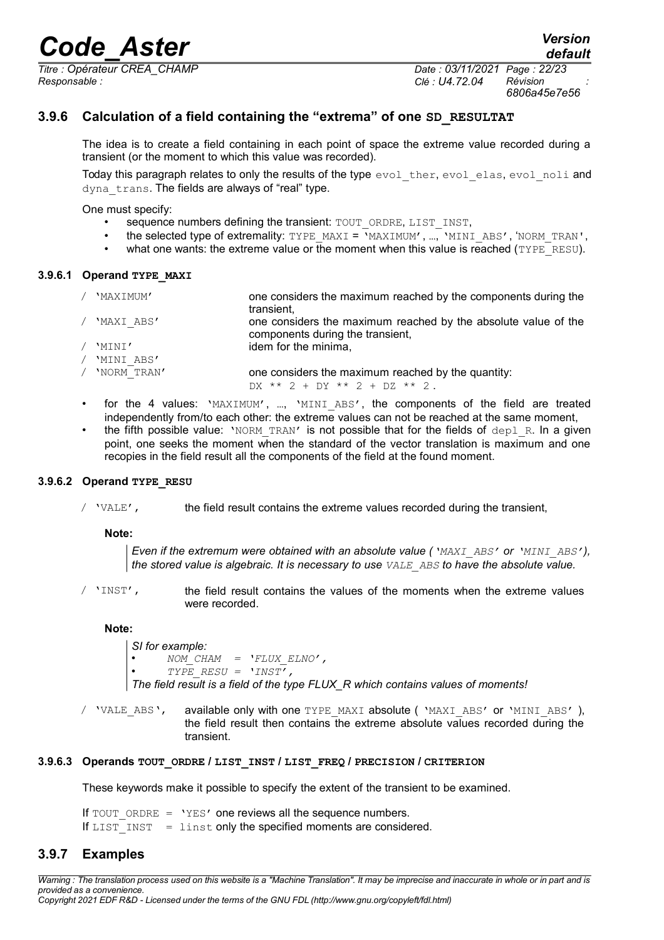*Titre : Opérateur CREA\_CHAMP Date : 03/11/2021 Page : 22/23 Responsable : Clé : U4.72.04 Révision :*

*6806a45e7e56*

*default*

#### **3.9.6 Calculation of a field containing the "extrema" of one SD\_RESULTAT**

<span id="page-21-1"></span>The idea is to create a field containing in each point of space the extreme value recorded during a transient (or the moment to which this value was recorded).

Today this paragraph relates to only the results of the type evol ther, evol elas, evol noli and dyna trans. The fields are always of "real" type.

One must specify:

- sequence numbers defining the transient: TOUT\_ORDRE, LIST\_INST,
- the selected type of extremality: TYPE\_MAXI =  $\sqrt{MAXIMUM'}$ , ..., 'MINI\_ABS', 'NORM\_TRAN',
- what one wants: the extreme value or the moment when this value is reached ( $TYPE$ <sub>RESU</sub>).

#### **3.9.6.1 Operand TYPE\_MAXI**

- / 'MAXIMUM' one considers the maximum reached by the components during the transient, / 'MAXI ABS' one considers the maximum reached by the absolute value of the
- components during the transient, / 'MINI' / 'MINI\_ABS' idem for the minima, / 'NORM\_TRAN' one considers the maximum reached by the quantity:
	- DX \*\* 2 + DY \*\* 2 + DZ \*\* 2 .
	- for the 4 values: 'MAXIMUM', ..., 'MINI ABS', the components of the field are treated independently from/to each other: the extreme values can not be reached at the same moment,
	- the fifth possible value: 'NORM\_TRAN' is not possible that for the fields of  $dep1$  R. In a given point, one seeks the moment when the standard of the vector translation is maximum and one recopies in the field result all the components of the field at the found moment.

#### **3.9.6.2 Operand TYPE\_RESU**

 $\prime$  'VALE', the field result contains the extreme values recorded during the transient,

**Note:**

*Even if the extremum were obtained with an absolute value ('MAXI\_ABS' or 'MINI\_ABS'), the stored value is algebraic. It is necessary to use VALE\_ABS to have the absolute value.*

/ 'INST', the field result contains the values of the moments when the extreme values were recorded.

#### **Note:**

*SI for example:* • *NOM\_CHAM = 'FLUX\_ELNO',*   $TYPE$  RESU =  $'INST'$ , *The field result is a field of the type FLUX\_R which contains values of moments!*

/ 'VALE ABS', available only with one TYPE MAXI absolute ( 'MAXI ABS' or 'MINI ABS' ), the field result then contains the extreme absolute values recorded during the transient.

#### **3.9.6.3 Operands TOUT\_ORDRE / LIST\_INST / LIST\_FREQ / PRECISION / CRITERION**

These keywords make it possible to specify the extent of the transient to be examined.

<span id="page-21-0"></span>If  $TOUT$  ORDRE = 'YES' one reviews all the sequence numbers. If  $LIST \overline{INT} = 1 \overline{inst}$  only the specified moments are considered.

#### **3.9.7 Examples**